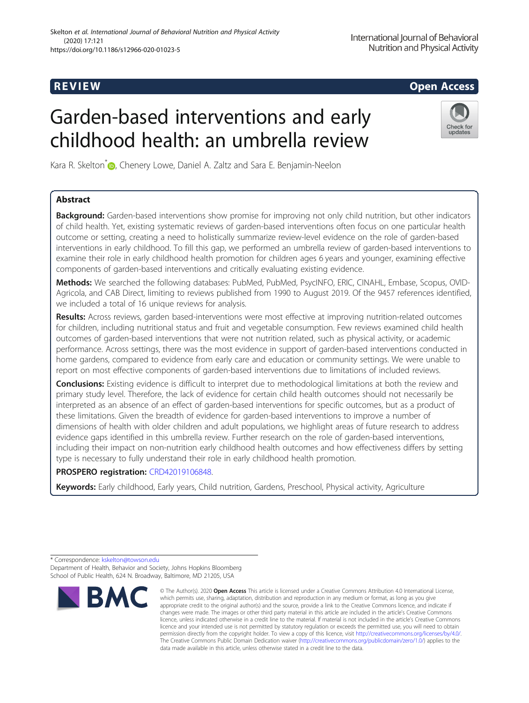## **REVIEW CONSIDERING CONSIDERING CONSIDERING CONSIDERING CONSIDERING CONSIDERING CONSIDERING CONSIDERING CONSIDERING CONSIDERING CONSIDERING CONSIDERING CONSIDERING CONSIDERING CONSIDERING CONSIDERING CONSIDERING CONSIDER**

# Garden-based interventions and early childhood health: an umbrella review



Kara R. Skelton<sup>\*</sup> [,](http://orcid.org/0000-0002-4531-0534) Chenery Lowe, Daniel A. Zaltz and Sara E. Benjamin-Neelon

### Abstract

**Background:** Garden-based interventions show promise for improving not only child nutrition, but other indicators of child health. Yet, existing systematic reviews of garden-based interventions often focus on one particular health outcome or setting, creating a need to holistically summarize review-level evidence on the role of garden-based interventions in early childhood. To fill this gap, we performed an umbrella review of garden-based interventions to examine their role in early childhood health promotion for children ages 6 years and younger, examining effective components of garden-based interventions and critically evaluating existing evidence.

Methods: We searched the following databases: PubMed, PubMed, PsycINFO, ERIC, CINAHL, Embase, Scopus, OVID-Agricola, and CAB Direct, limiting to reviews published from 1990 to August 2019. Of the 9457 references identified, we included a total of 16 unique reviews for analysis.

Results: Across reviews, garden based-interventions were most effective at improving nutrition-related outcomes for children, including nutritional status and fruit and vegetable consumption. Few reviews examined child health outcomes of garden-based interventions that were not nutrition related, such as physical activity, or academic performance. Across settings, there was the most evidence in support of garden-based interventions conducted in home gardens, compared to evidence from early care and education or community settings. We were unable to report on most effective components of garden-based interventions due to limitations of included reviews.

Conclusions: Existing evidence is difficult to interpret due to methodological limitations at both the review and primary study level. Therefore, the lack of evidence for certain child health outcomes should not necessarily be interpreted as an absence of an effect of garden-based interventions for specific outcomes, but as a product of these limitations. Given the breadth of evidence for garden-based interventions to improve a number of dimensions of health with older children and adult populations, we highlight areas of future research to address evidence gaps identified in this umbrella review. Further research on the role of garden-based interventions, including their impact on non-nutrition early childhood health outcomes and how effectiveness differs by setting type is necessary to fully understand their role in early childhood health promotion.

#### PROSPERO registration: [CRD42019106848](https://www.crd.york.ac.uk/prospero/display_record.php?RecordID=106848).

Keywords: Early childhood, Early years, Child nutrition, Gardens, Preschool, Physical activity, Agriculture

\* Correspondence: [kskelton@towson.edu](mailto:kskelton@towson.edu) Department of Health, Behavior and Society, Johns Hopkins Bloomberg School of Public Health, 624 N. Broadway, Baltimore, MD 21205, USA



<sup>©</sup> The Author(s), 2020 **Open Access** This article is licensed under a Creative Commons Attribution 4.0 International License, which permits use, sharing, adaptation, distribution and reproduction in any medium or format, as long as you give appropriate credit to the original author(s) and the source, provide a link to the Creative Commons licence, and indicate if changes were made. The images or other third party material in this article are included in the article's Creative Commons licence, unless indicated otherwise in a credit line to the material. If material is not included in the article's Creative Commons licence and your intended use is not permitted by statutory regulation or exceeds the permitted use, you will need to obtain permission directly from the copyright holder. To view a copy of this licence, visit [http://creativecommons.org/licenses/by/4.0/.](http://creativecommons.org/licenses/by/4.0/) The Creative Commons Public Domain Dedication waiver [\(http://creativecommons.org/publicdomain/zero/1.0/](http://creativecommons.org/publicdomain/zero/1.0/)) applies to the data made available in this article, unless otherwise stated in a credit line to the data.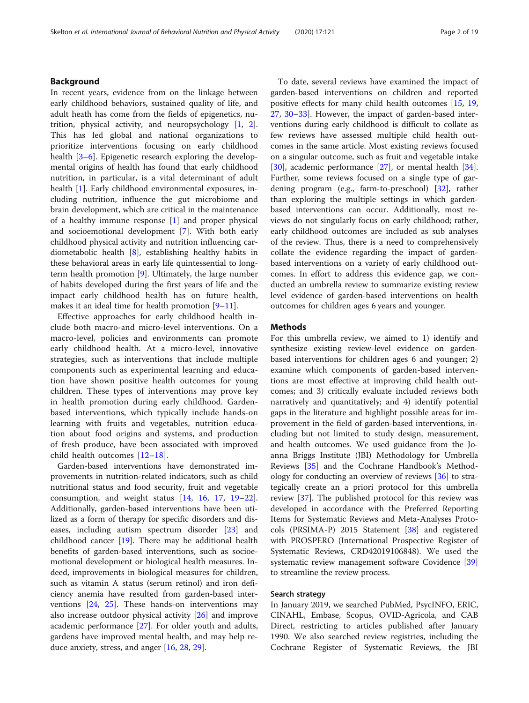#### Background

In recent years, evidence from on the linkage between early childhood behaviors, sustained quality of life, and adult heath has come from the fields of epigenetics, nutrition, physical activity, and neuropsychology [[1,](#page-16-0) [2](#page-16-0)]. This has led global and national organizations to prioritize interventions focusing on early childhood health [[3](#page-16-0)–[6](#page-16-0)]. Epigenetic research exploring the developmental origins of health has found that early childhood nutrition, in particular, is a vital determinant of adult health [\[1](#page-16-0)]. Early childhood environmental exposures, including nutrition, influence the gut microbiome and brain development, which are critical in the maintenance of a healthy immune response [\[1\]](#page-16-0) and proper physical and socioemotional development [\[7](#page-16-0)]. With both early childhood physical activity and nutrition influencing cardiometabolic health [[8\]](#page-16-0), establishing healthy habits in these behavioral areas in early life quintessential to longterm health promotion [[9\]](#page-16-0). Ultimately, the large number of habits developed during the first years of life and the impact early childhood health has on future health, makes it an ideal time for health promotion  $[9-11]$  $[9-11]$  $[9-11]$  $[9-11]$ .

Effective approaches for early childhood health include both macro-and micro-level interventions. On a macro-level, policies and environments can promote early childhood health. At a micro-level, innovative strategies, such as interventions that include multiple components such as experimental learning and education have shown positive health outcomes for young children. These types of interventions may prove key in health promotion during early childhood. Gardenbased interventions, which typically include hands-on learning with fruits and vegetables, nutrition education about food origins and systems, and production of fresh produce, have been associated with improved child health outcomes [[12](#page-16-0)–[18](#page-16-0)].

Garden-based interventions have demonstrated improvements in nutrition-related indicators, such as child nutritional status and food security, fruit and vegetable consumption, and weight status [[14](#page-16-0), [16](#page-16-0), [17](#page-16-0), [19](#page-16-0)–[22](#page-16-0)]. Additionally, garden-based interventions have been utilized as a form of therapy for specific disorders and diseases, including autism spectrum disorder [\[23](#page-16-0)] and childhood cancer [\[19](#page-16-0)]. There may be additional health benefits of garden-based interventions, such as socioemotional development or biological health measures. Indeed, improvements in biological measures for children, such as vitamin A status (serum retinol) and iron deficiency anemia have resulted from garden-based interventions [\[24](#page-16-0), [25](#page-16-0)]. These hands-on interventions may also increase outdoor physical activity [[26](#page-16-0)] and improve academic performance [[27\]](#page-16-0). For older youth and adults, gardens have improved mental health, and may help reduce anxiety, stress, and anger [[16](#page-16-0), [28](#page-16-0), [29](#page-16-0)].

To date, several reviews have examined the impact of garden-based interventions on children and reported positive effects for many child health outcomes [[15,](#page-16-0) [19](#page-16-0), [27,](#page-16-0) [30](#page-16-0)–[33](#page-16-0)]. However, the impact of garden-based interventions during early childhood is difficult to collate as few reviews have assessed multiple child health outcomes in the same article. Most existing reviews focused on a singular outcome, such as fruit and vegetable intake [[30\]](#page-16-0), academic performance [[27](#page-16-0)], or mental health [\[34](#page-16-0)]. Further, some reviews focused on a single type of gardening program (e.g., farm-to-preschool) [\[32](#page-16-0)], rather than exploring the multiple settings in which gardenbased interventions can occur. Additionally, most reviews do not singularly focus on early childhood; rather, early childhood outcomes are included as sub analyses of the review. Thus, there is a need to comprehensively collate the evidence regarding the impact of gardenbased interventions on a variety of early childhood outcomes. In effort to address this evidence gap, we conducted an umbrella review to summarize existing review level evidence of garden-based interventions on health outcomes for children ages 6 years and younger.

#### **Methods**

For this umbrella review, we aimed to 1) identify and synthesize existing review-level evidence on gardenbased interventions for children ages 6 and younger; 2) examine which components of garden-based interventions are most effective at improving child health outcomes; and 3) critically evaluate included reviews both narratively and quantitatively; and 4) identify potential gaps in the literature and highlight possible areas for improvement in the field of garden-based interventions, including but not limited to study design, measurement, and health outcomes. We used guidance from the Joanna Briggs Institute (JBI) Methodology for Umbrella Reviews [[35\]](#page-16-0) and the Cochrane Handbook's Methodology for conducting an overview of reviews [[36](#page-16-0)] to strategically create an a priori protocol for this umbrella review [\[37\]](#page-16-0). The published protocol for this review was developed in accordance with the Preferred Reporting Items for Systematic Reviews and Meta-Analyses Protocols (PRSIMA-P) 2015 Statement [\[38\]](#page-16-0) and registered with PROSPERO (International Prospective Register of Systematic Reviews, CRD42019106848). We used the systematic review management software Covidence [[39](#page-16-0)] to streamline the review process.

#### Search strategy

In January 2019, we searched PubMed, PsycINFO, ERIC, CINAHL, Embase, Scopus, OVID-Agricola, and CAB Direct, restricting to articles published after January 1990. We also searched review registries, including the Cochrane Register of Systematic Reviews, the JBI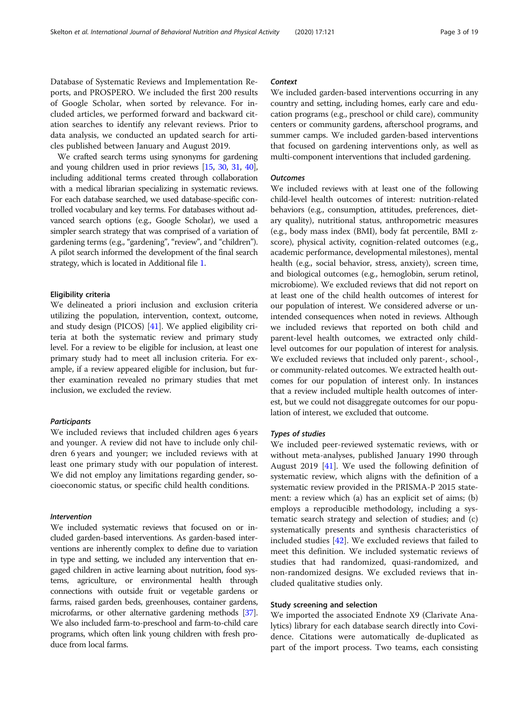Database of Systematic Reviews and Implementation Reports, and PROSPERO. We included the first 200 results of Google Scholar, when sorted by relevance. For included articles, we performed forward and backward citation searches to identify any relevant reviews. Prior to data analysis, we conducted an updated search for articles published between January and August 2019.

We crafted search terms using synonyms for gardening and young children used in prior reviews [\[15,](#page-16-0) [30](#page-16-0), [31](#page-16-0), [40](#page-16-0)], including additional terms created through collaboration with a medical librarian specializing in systematic reviews. For each database searched, we used database-specific controlled vocabulary and key terms. For databases without advanced search options (e.g., Google Scholar), we used a simpler search strategy that was comprised of a variation of gardening terms (e.g., "gardening", "review", and "children"). A pilot search informed the development of the final search strategy, which is located in Additional file [1.](#page-15-0)

#### Eligibility criteria

We delineated a priori inclusion and exclusion criteria utilizing the population, intervention, context, outcome, and study design (PICOS) [\[41\]](#page-16-0). We applied eligibility criteria at both the systematic review and primary study level. For a review to be eligible for inclusion, at least one primary study had to meet all inclusion criteria. For example, if a review appeared eligible for inclusion, but further examination revealed no primary studies that met inclusion, we excluded the review.

#### **Participants**

We included reviews that included children ages 6 years and younger. A review did not have to include only children 6 years and younger; we included reviews with at least one primary study with our population of interest. We did not employ any limitations regarding gender, socioeconomic status, or specific child health conditions.

#### Intervention

We included systematic reviews that focused on or included garden-based interventions. As garden-based interventions are inherently complex to define due to variation in type and setting, we included any intervention that engaged children in active learning about nutrition, food systems, agriculture, or environmental health through connections with outside fruit or vegetable gardens or farms, raised garden beds, greenhouses, container gardens, microfarms, or other alternative gardening methods [\[37](#page-16-0)]. We also included farm-to-preschool and farm-to-child care programs, which often link young children with fresh produce from local farms.

#### **Context**

We included garden-based interventions occurring in any country and setting, including homes, early care and education programs (e.g., preschool or child care), community centers or community gardens, afterschool programs, and summer camps. We included garden-based interventions that focused on gardening interventions only, as well as multi-component interventions that included gardening.

#### **Outcomes**

We included reviews with at least one of the following child-level health outcomes of interest: nutrition-related behaviors (e.g., consumption, attitudes, preferences, dietary quality), nutritional status, anthropometric measures (e.g., body mass index (BMI), body fat percentile, BMI zscore), physical activity, cognition-related outcomes (e.g., academic performance, developmental milestones), mental health (e.g., social behavior, stress, anxiety), screen time, and biological outcomes (e.g., hemoglobin, serum retinol, microbiome). We excluded reviews that did not report on at least one of the child health outcomes of interest for our population of interest. We considered adverse or unintended consequences when noted in reviews. Although we included reviews that reported on both child and parent-level health outcomes, we extracted only childlevel outcomes for our population of interest for analysis. We excluded reviews that included only parent-, school-, or community-related outcomes. We extracted health outcomes for our population of interest only. In instances that a review included multiple health outcomes of interest, but we could not disaggregate outcomes for our population of interest, we excluded that outcome.

#### Types of studies

We included peer-reviewed systematic reviews, with or without meta-analyses, published January 1990 through August 2019 [[41\]](#page-16-0). We used the following definition of systematic review, which aligns with the definition of a systematic review provided in the PRISMA-P 2015 statement: a review which (a) has an explicit set of aims; (b) employs a reproducible methodology, including a systematic search strategy and selection of studies; and (c) systematically presents and synthesis characteristics of included studies [\[42](#page-16-0)]. We excluded reviews that failed to meet this definition. We included systematic reviews of studies that had randomized, quasi-randomized, and non-randomized designs. We excluded reviews that included qualitative studies only.

#### Study screening and selection

We imported the associated Endnote X9 (Clarivate Analytics) library for each database search directly into Covidence. Citations were automatically de-duplicated as part of the import process. Two teams, each consisting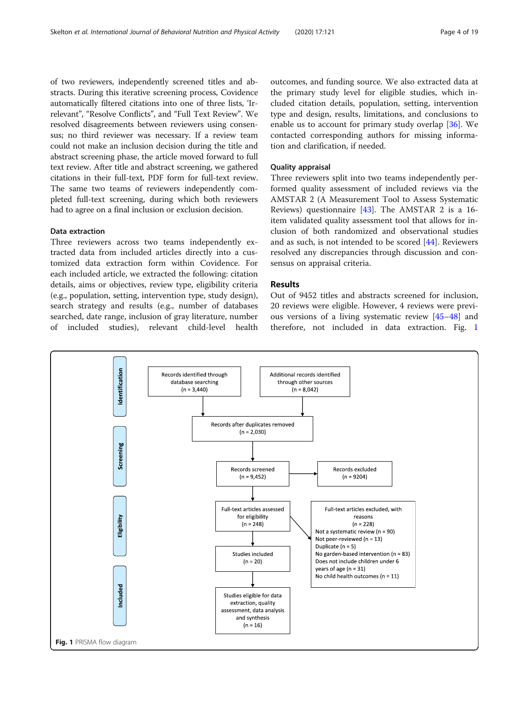of two reviewers, independently screened titles and abstracts. During this iterative screening process, Covidence automatically filtered citations into one of three lists, 'Irrelevant", "Resolve Conflicts", and "Full Text Review". We resolved disagreements between reviewers using consensus; no third reviewer was necessary. If a review team could not make an inclusion decision during the title and abstract screening phase, the article moved forward to full text review. After title and abstract screening, we gathered citations in their full-text, PDF form for full-text review. The same two teams of reviewers independently completed full-text screening, during which both reviewers had to agree on a final inclusion or exclusion decision.

#### Data extraction

Three reviewers across two teams independently extracted data from included articles directly into a customized data extraction form within Covidence. For each included article, we extracted the following: citation details, aims or objectives, review type, eligibility criteria (e.g., population, setting, intervention type, study design), search strategy and results (e.g., number of databases searched, date range, inclusion of gray literature, number of included studies), relevant child-level health outcomes, and funding source. We also extracted data at the primary study level for eligible studies, which included citation details, population, setting, intervention type and design, results, limitations, and conclusions to enable us to account for primary study overlap [[36\]](#page-16-0). We contacted corresponding authors for missing information and clarification, if needed.

#### Quality appraisal

Three reviewers split into two teams independently performed quality assessment of included reviews via the AMSTAR 2 (A Measurement Tool to Assess Systematic Reviews) questionnaire [[43](#page-16-0)]. The AMSTAR 2 is a 16 item validated quality assessment tool that allows for inclusion of both randomized and observational studies and as such, is not intended to be scored [[44\]](#page-17-0). Reviewers resolved any discrepancies through discussion and consensus on appraisal criteria.

#### **Results**

Out of 9452 titles and abstracts screened for inclusion, 20 reviews were eligible. However, 4 reviews were previous versions of a living systematic review [\[45](#page-17-0)–[48\]](#page-17-0) and therefore, not included in data extraction. Fig. 1

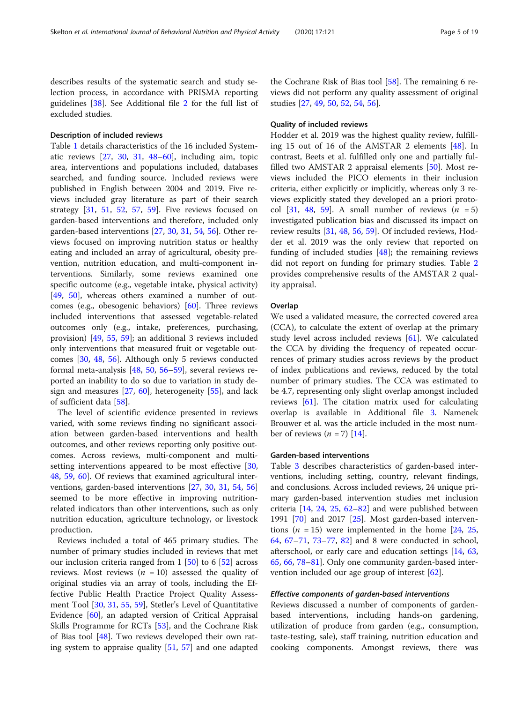describes results of the systematic search and study selection process, in accordance with PRISMA reporting guidelines [\[38\]](#page-16-0). See Additional file [2](#page-15-0) for the full list of excluded studies.

#### Description of included reviews

Table [1](#page-5-0) details characteristics of the 16 included Systematic reviews [\[27](#page-16-0), [30,](#page-16-0) [31,](#page-16-0) [48](#page-17-0)–[60](#page-17-0)], including aim, topic area, interventions and populations included, databases searched, and funding source. Included reviews were published in English between 2004 and 2019. Five reviews included gray literature as part of their search strategy [[31,](#page-16-0) [51,](#page-17-0) [52](#page-17-0), [57](#page-17-0), [59\]](#page-17-0). Five reviews focused on garden-based interventions and therefore, included only garden-based interventions [[27,](#page-16-0) [30](#page-16-0), [31](#page-16-0), [54](#page-17-0), [56](#page-17-0)]. Other reviews focused on improving nutrition status or healthy eating and included an array of agricultural, obesity prevention, nutrition education, and multi-component interventions. Similarly, some reviews examined one specific outcome (e.g., vegetable intake, physical activity) [[49,](#page-17-0) [50](#page-17-0)], whereas others examined a number of outcomes (e.g., obesogenic behaviors) [\[60\]](#page-17-0). Three reviews included interventions that assessed vegetable-related outcomes only (e.g., intake, preferences, purchasing, provision) [[49,](#page-17-0) [55](#page-17-0), [59\]](#page-17-0); an additional 3 reviews included only interventions that measured fruit or vegetable outcomes [[30,](#page-16-0) [48,](#page-17-0) [56\]](#page-17-0). Although only 5 reviews conducted formal meta-analysis [[48,](#page-17-0) [50,](#page-17-0) [56](#page-17-0)–[59](#page-17-0)], several reviews reported an inability to do so due to variation in study design and measures  $[27, 60]$  $[27, 60]$  $[27, 60]$ , heterogeneity  $[55]$  $[55]$ , and lack of sufficient data [\[58\]](#page-17-0).

The level of scientific evidence presented in reviews varied, with some reviews finding no significant association between garden-based interventions and health outcomes, and other reviews reporting only positive outcomes. Across reviews, multi-component and multi-setting interventions appeared to be most effective [[30](#page-16-0), [48,](#page-17-0) [59](#page-17-0), [60\]](#page-17-0). Of reviews that examined agricultural interventions, garden-based interventions [\[27,](#page-16-0) [30,](#page-16-0) [31](#page-16-0), [54,](#page-17-0) [56](#page-17-0)] seemed to be more effective in improving nutritionrelated indicators than other interventions, such as only nutrition education, agriculture technology, or livestock production.

Reviews included a total of 465 primary studies. The number of primary studies included in reviews that met our inclusion criteria ranged from 1 [[50\]](#page-17-0) to 6 [\[52](#page-17-0)] across reviews. Most reviews ( $n = 10$ ) assessed the quality of original studies via an array of tools, including the Effective Public Health Practice Project Quality Assessment Tool [\[30](#page-16-0), [31](#page-16-0), [55](#page-17-0), [59](#page-17-0)], Stetler's Level of Quantitative Evidence [[60\]](#page-17-0), an adapted version of Critical Appraisal Skills Programme for RCTs [\[53](#page-17-0)], and the Cochrane Risk of Bias tool [[48](#page-17-0)]. Two reviews developed their own rating system to appraise quality [[51](#page-17-0), [57](#page-17-0)] and one adapted

the Cochrane Risk of Bias tool [[58\]](#page-17-0). The remaining 6 reviews did not perform any quality assessment of original studies [\[27,](#page-16-0) [49,](#page-17-0) [50,](#page-17-0) [52,](#page-17-0) [54](#page-17-0), [56](#page-17-0)].

#### Quality of included reviews

Hodder et al. 2019 was the highest quality review, fulfilling 15 out of 16 of the AMSTAR 2 elements [\[48\]](#page-17-0). In contrast, Beets et al. fulfilled only one and partially ful-filled two AMSTAR 2 appraisal elements [\[50](#page-17-0)]. Most reviews included the PICO elements in their inclusion criteria, either explicitly or implicitly, whereas only 3 reviews explicitly stated they developed an a priori protocol  $\begin{bmatrix} 31, 48, 59 \end{bmatrix}$  $\begin{bmatrix} 31, 48, 59 \end{bmatrix}$  $\begin{bmatrix} 31, 48, 59 \end{bmatrix}$  $\begin{bmatrix} 31, 48, 59 \end{bmatrix}$  $\begin{bmatrix} 31, 48, 59 \end{bmatrix}$ . A small number of reviews  $(n = 5)$ investigated publication bias and discussed its impact on review results [\[31,](#page-16-0) [48,](#page-17-0) [56,](#page-17-0) [59\]](#page-17-0). Of included reviews, Hodder et al. 2019 was the only review that reported on funding of included studies [[48\]](#page-17-0); the remaining reviews did not report on funding for primary studies. Table [2](#page-7-0) provides comprehensive results of the AMSTAR 2 quality appraisal.

#### **Overlap**

We used a validated measure, the corrected covered area (CCA), to calculate the extent of overlap at the primary study level across included reviews [[61\]](#page-17-0). We calculated the CCA by dividing the frequency of repeated occurrences of primary studies across reviews by the product of index publications and reviews, reduced by the total number of primary studies. The CCA was estimated to be 4.7, representing only slight overlap amongst included reviews [\[61](#page-17-0)]. The citation matrix used for calculating overlap is available in Additional file [3.](#page-15-0) Namenek Brouwer et al. was the article included in the most number of reviews  $(n = 7)$  [\[14\]](#page-16-0).

#### Garden-based interventions

Table [3](#page-8-0) describes characteristics of garden-based interventions, including setting, country, relevant findings, and conclusions. Across included reviews, 24 unique primary garden-based intervention studies met inclusion criteria [\[14](#page-16-0), [24,](#page-16-0) [25,](#page-16-0) [62](#page-17-0)–[82](#page-17-0)] and were published between 1991 [\[70\]](#page-17-0) and 2017 [[25\]](#page-16-0). Most garden-based interventions ( $n = 15$ ) were implemented in the home [\[24,](#page-16-0) [25](#page-16-0), [64,](#page-17-0) [67](#page-17-0)–[71](#page-17-0), [73](#page-17-0)–[77,](#page-17-0) [82\]](#page-17-0) and 8 were conducted in school, afterschool, or early care and education settings [\[14,](#page-16-0) [63](#page-17-0), [65,](#page-17-0) [66](#page-17-0), [78](#page-17-0)–[81\]](#page-17-0). Only one community garden-based intervention included our age group of interest  $[62]$  $[62]$ .

#### Effective components of garden-based interventions

Reviews discussed a number of components of gardenbased interventions, including hands-on gardening, utilization of produce from garden (e.g., consumption, taste-testing, sale), staff training, nutrition education and cooking components. Amongst reviews, there was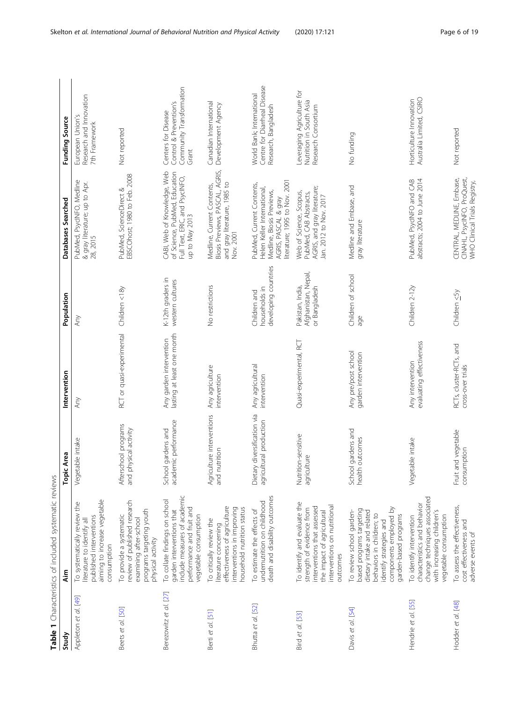<span id="page-5-0"></span>

|                        | Table 1 Characteristics of included systematic reviews                                                                                                                                        |                                                        |                                                       |                                                          |                                                                                                                                                |                                                                                    |
|------------------------|-----------------------------------------------------------------------------------------------------------------------------------------------------------------------------------------------|--------------------------------------------------------|-------------------------------------------------------|----------------------------------------------------------|------------------------------------------------------------------------------------------------------------------------------------------------|------------------------------------------------------------------------------------|
| Study                  | i<br><a< th=""><th><b>Topic Area</b></th><th>Intervention</th><th>Population</th><th>Databases Searched</th><th>Funding Source</th></a<>                                                      | <b>Topic Area</b>                                      | Intervention                                          | Population                                               | Databases Searched                                                                                                                             | Funding Source                                                                     |
| Appleton et al. [49]   | aiming to increase vegetable<br>To systematically review the<br>published interventions<br>literature to identify all<br>consumption                                                          | Vegetable intake                                       | $\overline{A}$                                        | Any                                                      | PubMed, PsycINFO, Medline<br>& gray literature; up to Apr.<br>28, 2015                                                                         | Research and Innovation<br>European Union's<br>7th Framework                       |
| Beets et al. [50]      | review of published research<br>programs targeting youth<br>To provide a systematic<br>examining after-school<br>physical activity                                                            | Afterschool programs<br>physical activity<br>pue       | RCT or quasi-experimental                             | Children <18y                                            | EBSCOhost; 1980 to Feb. 2008<br>PubMed, ScienceDirect &                                                                                        | Not reported                                                                       |
| Berezowitz et al. [27] | nclude measures of academic<br>To collate findings on school<br>performance and fruit and<br>garden interventions that<br>vegetable consumption                                               | academic performance<br>School gardens and             | lasting at least one month<br>Any garden intervention | K-12th graders in<br>western cultures                    | of Science, PubMed, Education<br>CABI, Web of Knowledge, Web<br>Full Text, ERIC, and PsycINFO,<br>up to May 2013                               | Community Transformation<br>Control & Prevention's<br>Centers for Disease<br>Grant |
| Berti et al. [51]      | effectiveness of agriculture<br>interventions in improving<br>household nutrition status<br>To critically review the<br>literature concerning                                                 | Agriculture interventions<br>nutrition<br>pue          | Any agriculture<br>intervention                       | No restrictions                                          | Biosis Previews, PASCAL, AGRIS,<br>and gray literature, 1985 to<br>Medline, Current Contents,<br>Nov. 2001                                     | Canadian International<br>Development Agency                                       |
| Bhutta et al. [52]     | death and disability outcomes<br>undernutrition on childhood<br>To estimate the effects of                                                                                                    | Dietary diversification via<br>agricultural production | Any agricultural<br>intervention                      | developing countries<br>households in<br>Children and    | literature; 1995 to Nov. 2001<br>PubMed, Current Contents,<br>Helen Keller International,<br>Medline, Biosis Previews,<br>AGRIS, PASCAL & gray | Centre for Diarrheal Disease<br>World Bank; International<br>Research, Bangladesh  |
| Bird et al. [53]       | To identify and evaluate the<br>interventions on nutritional<br>interventions that assessed<br>strength of evidence from<br>the impact of agricultural<br>outcomes                            | Nutrition-sensitive<br>agriculture                     | Quasi-experimental, RCT                               | Afghanistan, Nepal,<br>or Bangladesh<br>Pakistan, India, | AGRIS, and gray literature;<br>Web of Science, Scopus,<br>PubMed, CAB Abstracts,<br>Jan. 2012 to Nov. 2017                                     | Leveraging Agriculture for<br>Nutrition in South Asia<br>Research Consortium       |
| Davis et al. [54]      | components employed by<br>based programs targeting<br>dietary intake and related<br>To review school garden-<br>behaviors in children; to<br>garden-based programs<br>identify strategies and | School gardens and<br>health outcomes                  | Any pre/post school<br>garden intervention            | Children of school<br>age                                | Medline and Embase, and<br>gray literature                                                                                                     | No funding                                                                         |
| Hendrie et al. [55]    | change techniques associated<br>characteristics and behavior<br>with increasing children's<br>vegetable consumption<br>To identify intervention                                               | etable intake<br>Vegr                                  | evaluating effectiveness<br>Any intervention          | Children 2-12y                                           | abstracts; 2004 to June 2014<br>PubMed, PsycINFO and CAB                                                                                       | Australia Limited, CSIRO<br>Horticulture Innovation                                |
| Hodder et al. [48]     | To assess the effectiveness,<br>cost effectiveness and<br>adverse events of                                                                                                                   | Fruit and vegetable<br>consumption                     | RCTs, cluster-RCTs, and<br>cross-over trials          | Children <5y                                             | CENTRAL, MEDLINE, Embase,<br>CINAHL, PsycINFO, ProQuest,<br>WHO Clinical Trials Registry,                                                      | Not reported                                                                       |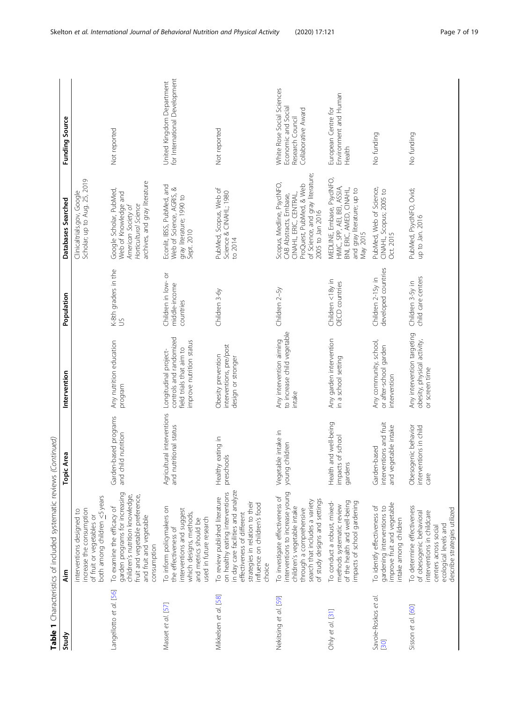| Study<br>ē                   | contract in the contract of the contract of the contract of the contract of the contract of the contract of the contract of the contract of the contract of the contract of the contract of the contract of the contract of th<br>Aim | - Ol IIII IUEU.<br><b>Topic Area</b>                                        | Intervention                                                                                             | Population                                        | Databases Searched                                                                                                                                                | Funding Source                                                                               |
|------------------------------|---------------------------------------------------------------------------------------------------------------------------------------------------------------------------------------------------------------------------------------|-----------------------------------------------------------------------------|----------------------------------------------------------------------------------------------------------|---------------------------------------------------|-------------------------------------------------------------------------------------------------------------------------------------------------------------------|----------------------------------------------------------------------------------------------|
|                              | both among children <5 years<br>increase the consumption<br>interventions designed to<br>of fruit or vegetables or                                                                                                                    |                                                                             |                                                                                                          |                                                   | Scholar; up to Aug. 25, 2019<br>Clinicaltrials.gov, Google                                                                                                        |                                                                                              |
| Langellotto et al. [56]      | garden programs for increasing<br>children's nutrition knowledge,<br>fruit and vegetable preference,<br>To examine the efficacy of<br>and fruit and vegetable<br>consumption                                                          | Garden-based programs<br>and child nutrition                                | Any nutrition education<br>program                                                                       | K-8th graders in the<br>$\leq$                    | archives, and gray literature<br>Google Scholar, PubMed,<br>Web of Knowledge and<br>Horticultural Science<br>American Society of                                  | Not reported                                                                                 |
| Masset et al. [57]           | To inform policymakers on<br>interventions and suggest<br>which designs, methods,<br>used in future research<br>and metrics should be<br>the effectiveness of                                                                         | Agricultural interventions<br>and nutritional status                        | controls and randomized<br>improve nutrition status<br>field trials that aim to<br>Longitudinal project- | Children in low- or<br>middle-income<br>countries | Econlit, IBSS, PubMed, and<br>Web of Science, AGRIS, &<br>gray literature; 1990 to<br>Sept. 2010                                                                  | for International Development<br>United Kingdom Department                                   |
| Mikkelsen et al. [58]        | in day care facilities and analyze<br>on healthy eating interventions<br>To review published literature<br>strategies in relation to their<br>influence on children's food<br>effectiveness of different<br>choice                    | Healthy eating in<br>preschools                                             | interventions, pre/post<br>Obesity prevention<br>design or stronger                                      | Children 3-6y                                     | PubMed, Scopus, Web of<br>Science & CINAHL; 1980<br>to 2014                                                                                                       | Not reported                                                                                 |
| Nekitsing et al. [59]        | interventions to increase young<br>To investigate effectiveness of<br>of study designs and settings<br>search that includes a variety<br>children's vegetable intake<br>through a comprehensive                                       | Vegetable intake in<br>young children                                       | to increase child vegetable<br>Any intervention aiming<br>intake                                         | Children 2-5y                                     | of Science, and gray literature;<br>2005 to Jan 2016<br>Scopus, Medline, PsycINFO,<br>ProQuest, PubMed, & Web<br>CINAHL, ERIC, CENTRAL,<br>CAB Abstracts, Embase, | White Rose Social Sciences<br>Economic and Social<br>Collaborative Award<br>Research Council |
| Ohly et al. [31]             | impacts of school gardening<br>of the health and well-being<br>To conduct a robust, mixed-<br>methods systematic review                                                                                                               | Health and well-being<br>impacts of school<br>gardens                       | Any garden intervention<br>in a school setting                                                           | Children <18y in<br><b>OECD</b> countries         | MEDLINE, Embase, PsycINFO,<br>HMIC, SPP, AEI, BEI, ASSIA,<br>BNI, ERIC, AMED, CINAHL,<br>and gray literature; up to<br>May 2015                                   | Environment and Human<br>European Centre for<br>Health                                       |
| Savoie-Roskos et al.<br>[30] | improve fruit and vegetable<br>To identify effectiveness of<br>gardening interventions to<br>intake among children                                                                                                                    | interventions and fruit<br>egetable intake<br>Garden-based<br>$\frac{1}{2}$ | Any community, school,<br>or after-school garden<br>intervention                                         | developed countries<br>Children 2-15y in          | PubMed, Web of Science,<br>CINAHL, Scopus; 2005 to<br>Oct. 2015                                                                                                   | No funding                                                                                   |
| Sisson et al. [60]           | To determine effectiveness<br>describe strategies utilized<br>interventions in childcare<br>of obesogenic behavioral<br>ecological levels and<br>centers across social                                                                | Obesogenic behavior<br>interventions in child<br>care                       | Any intervention targeting<br>obesity, physical activity,<br>or screen time                              | child care centers<br>Children 3-5y in            | PubMed, PsycINFO, Ovid;<br>up to Jan. 2016                                                                                                                        | No funding                                                                                   |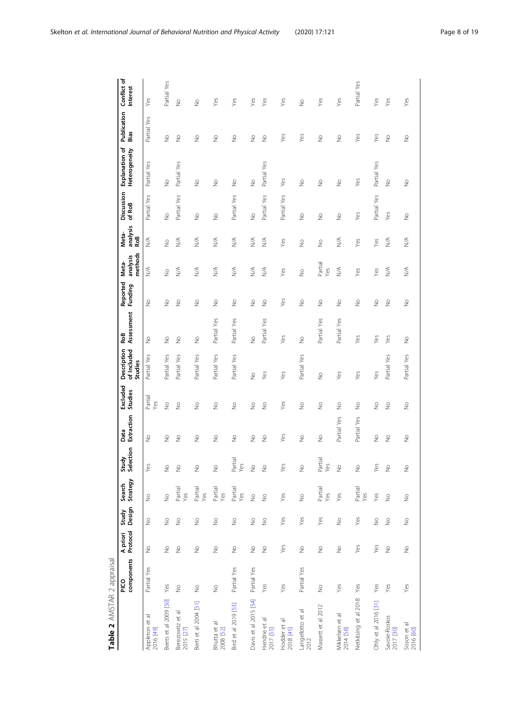| ć<br>appra                               |
|------------------------------------------|
| ٢                                        |
| $\frac{\alpha}{4}$<br>$\frac{1}{2}$<br>ā |
| ี                                        |
| ā                                        |

<span id="page-7-0"></span>

|                                | components<br><b>PICO</b> | A priori Study<br>Protocol Design |                          | Search<br>Strategy       | Study<br>Selection       | Data<br>Extraction | Excluded<br>Studies      | Description<br>of Included<br>Studies | Assessment<br>RoB        | Reported<br>Funding      | methods<br>analysis<br>Meta-     | analysis<br>Meta-<br>RoB     | of RoB        | Discussion Explanation of<br>Heterogeneity | Publication<br>Bias      | Conflict of<br>Interest |
|--------------------------------|---------------------------|-----------------------------------|--------------------------|--------------------------|--------------------------|--------------------|--------------------------|---------------------------------------|--------------------------|--------------------------|----------------------------------|------------------------------|---------------|--------------------------------------------|--------------------------|-------------------------|
| Appleton et al<br>2016 [49]    | Partial Yes               | $\geq$                            | $\frac{1}{2}$            | $\frac{1}{2}$            | Yes                      | $\frac{1}{2}$      | Partial<br>Yes           | Partial Yes                           | $\stackrel{\circ}{\geq}$ | $\frac{1}{2}$            | $\frac{1}{2}$                    | ∖∕<br>≥                      | Partial Yes   | Partial Yes                                | Partial Yes              | Yes                     |
| Beets et al 2009 [50]          | Yes                       | $\frac{1}{2}$                     | $\stackrel{\circ}{\geq}$ | $\stackrel{\circ}{\geq}$ | $\stackrel{\circ}{\geq}$ | $\geq$             | $\frac{1}{2}$            | Partial Yes                           | $\frac{1}{2}$            | $\frac{1}{2}$            | $\frac{1}{2}$                    | $\frac{1}{2}$                | $\frac{1}{2}$ | $\stackrel{\circ}{\geq}$                   | $\frac{1}{2}$            | Partial Yes             |
| Berezowitz et al<br>2015 [27]  | $\frac{1}{2}$             | $\frac{1}{2}$                     | $\frac{0}{2}$            | Partial<br>Yes           | $\frac{0}{2}$            | $\frac{1}{2}$      | $\frac{1}{2}$            | Partial Yes                           | $\frac{1}{2}$            | $\frac{1}{2}$            | $\lessapprox$                    | ∖∕<br>≥                      | Partial Yes   | Partial Yes                                | $\frac{1}{2}$            | $\frac{1}{2}$           |
| Berti et al 2004 [51]          | $\frac{1}{2}$             | $\geq$                            | $\stackrel{\circ}{\geq}$ | Partial<br>Yes           | $\stackrel{\circ}{\geq}$ | $\geq$             | $\frac{1}{2}$            | Partial Yes                           | $\frac{1}{2}$            | $\stackrel{\circ}{\geq}$ | $\stackrel{\triangleleft}{\geq}$ | $\stackrel{\triangle}{\geq}$ | $\frac{1}{2}$ | $\frac{1}{2}$                              | $\geq$                   | $\frac{1}{2}$           |
| Bhutta et al<br>2008 [52]      | $\frac{1}{2}$             | $\frac{1}{2}$                     | $\frac{1}{2}$            | Partial<br>Yes           | $\stackrel{\circ}{\geq}$ | $\frac{1}{2}$      | $\frac{1}{2}$            | Partial Yes                           | Partial Yes              | $\frac{1}{2}$            | ≶                                | ∖∕<br>≥                      | $\frac{1}{2}$ | $\frac{1}{2}$                              | $\frac{1}{2}$            | Yes                     |
| Bird et al 2019 [53]           | Partial Yes               | $\frac{1}{2}$                     | $\frac{1}{2}$            | Partial<br>Yes           | Partial<br>Yes           | $\frac{0}{2}$      | $\frac{1}{2}$            | Partial Yes                           | Partial Yes              | $\frac{1}{2}$            | $\lesssim$                       | $\stackrel{\triangle}{\geq}$ | Partial Yes   | $\frac{1}{2}$                              | $\frac{1}{2}$            | Yes                     |
| Davis et al 2015 [54]          | Partial Yes               | $\geq$                            | $\stackrel{\circ}{\geq}$ | $\frac{1}{2}$            | $\frac{1}{2}$            | $\frac{1}{2}$      | $\geq$                   | $\frac{1}{2}$                         | $\frac{1}{2}$            | $\frac{1}{2}$            | $\lessapprox$                    | $\stackrel{\triangle}{\geq}$ | $\frac{1}{2}$ | $\frac{1}{2}$                              | $\frac{1}{2}$            | Yes                     |
| ᄛ<br>Hendrie et a<br>2017 [55] | Yes                       | $\frac{1}{2}$                     | $\frac{0}{2}$            | $\frac{6}{2}$            | $\frac{0}{2}$            | $\frac{1}{2}$      | $\frac{1}{2}$            | Yes                                   | Partial Yes              | $\frac{1}{2}$            | $\lessgtr$                       | $\stackrel{\triangle}{\geq}$ | Partial Yes   | Partial Yes                                | $\frac{0}{2}$            | Yes                     |
| Hodder et al<br>2018 [45]      | Yes                       | Yes                               | Yes                      | Yes                      | Yes                      | Yes                | Yes                      | Yes                                   | Yes                      | Yes                      | Yes                              | Yes                          | Partial Yes   | Yes                                        | Yes                      | Yes                     |
| Langellotto et al<br>2012      | Partial Yes               | $\frac{1}{2}$                     | Yes                      | $\frac{1}{2}$            | $\frac{1}{2}$            | $\frac{1}{2}$      | $\frac{1}{2}$            | Partial Yes                           | $\frac{1}{2}$            | $\frac{1}{2}$            | $\frac{1}{2}$                    | $\frac{1}{2}$                | $\frac{1}{2}$ | $\frac{0}{2}$                              | Yes                      | $\frac{1}{2}$           |
| Massett et al 2012             | $\frac{1}{2}$             | $\frac{1}{2}$                     | Yes                      | Partial<br>Yes           | Partial<br>Yes           | $\frac{1}{2}$      | $\frac{1}{2}$            | $\frac{1}{2}$                         | Partial Yes              | $\frac{1}{2}$            | Partial<br>Yes                   | $\frac{1}{2}$                | $\frac{1}{2}$ | $\frac{0}{2}$                              | $\frac{1}{2}$            | Yes                     |
| Mikkelsen et al<br>2014 [58]   | Yes                       | $\frac{1}{2}$                     | $\stackrel{\circ}{\geq}$ | Yes                      | $\stackrel{\circ}{\geq}$ | Partial Yes        | $\frac{1}{2}$            | Yes                                   | Partial Yes              | $\frac{1}{2}$            | $\lessapprox$                    | $\stackrel{\triangle}{\geq}$ | $\frac{1}{2}$ | $\stackrel{\circ}{\geq}$                   | $\frac{1}{2}$            | Yes                     |
| Netkitsing et al 2018          | Yes                       | Yes                               | Yes                      | Partial<br>Yes           | $\frac{0}{2}$            | Partial Yes        | $\frac{1}{2}$            | Yes                                   | Yes                      | $\frac{1}{2}$            | Yes                              | Yes                          | Yes           | Yes                                        | Yes                      | Partial Yes             |
| Ohly et al 2016 [31]           | Yes                       | Yes                               | $\frac{1}{2}$            | Yes                      | Yes                      | $\frac{1}{2}$      | $\stackrel{\circ}{\geq}$ | Yes                                   | Yes                      | $\frac{1}{2}$            | Yes                              | Yes                          | Partial Yes   | Partial Yes                                | Yes                      | Yes                     |
| Savoie-Roskos<br>2017 [30]     | Yes                       | $\frac{1}{2}$                     | $\stackrel{\circ}{\geq}$ | $\frac{1}{2}$            | $\stackrel{\circ}{\geq}$ | $\frac{1}{2}$      | $\frac{1}{2}$            | Partial Yes                           | Yes                      | $\stackrel{\circ}{\geq}$ | $\lessgtr$                       | $\stackrel{\triangle}{\geq}$ | Yes           | $\stackrel{\circ}{\geq}$                   | $\stackrel{\circ}{\geq}$ | Yes                     |
| Sisson et al<br>2016 [60]      | Yes                       | $\frac{1}{2}$                     | $\frac{1}{2}$            | $\frac{1}{2}$            | $\frac{1}{2}$            | $\frac{1}{2}$      | $\frac{1}{2}$            | Partial Yes                           | $\frac{1}{2}$            | $\frac{1}{2}$            | $\lessgtr$                       | $\lessapprox$                | $\frac{1}{2}$ | $\frac{1}{2}$                              | $\frac{1}{2}$            | Yes                     |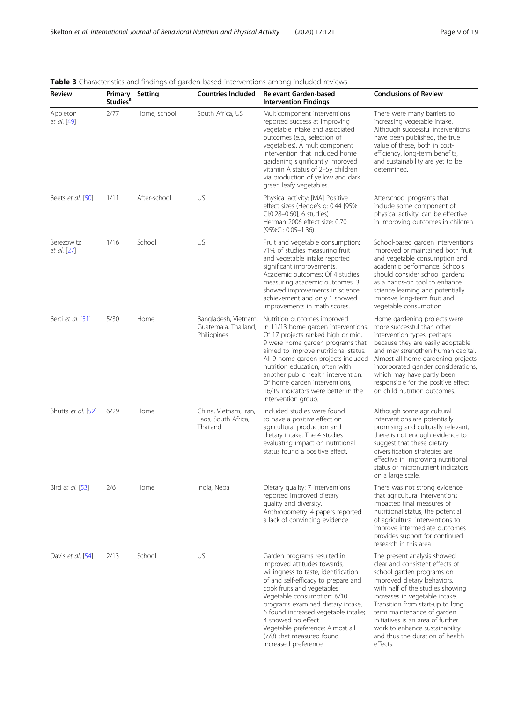<span id="page-8-0"></span>

|  |  | Table 3 Characteristics and findings of garden-based interventions among included reviews |  |
|--|--|-------------------------------------------------------------------------------------------|--|
|  |  |                                                                                           |  |

| <b>Review</b>             | Primary<br>Studies <sup>a</sup> | Setting      | <b>Countries Included</b>                                   | <b>Relevant Garden-based</b><br><b>Intervention Findings</b>                                                                                                                                                                                                                                                                                                                                         | <b>Conclusions of Review</b>                                                                                                                                                                                                                                                                                                                                                             |
|---------------------------|---------------------------------|--------------|-------------------------------------------------------------|------------------------------------------------------------------------------------------------------------------------------------------------------------------------------------------------------------------------------------------------------------------------------------------------------------------------------------------------------------------------------------------------------|------------------------------------------------------------------------------------------------------------------------------------------------------------------------------------------------------------------------------------------------------------------------------------------------------------------------------------------------------------------------------------------|
| Appleton<br>et al. [49]   | 2/77                            | Home, school | South Africa, US                                            | Multicomponent interventions<br>reported success at improving<br>vegetable intake and associated<br>outcomes (e.g., selection of<br>vegetables). A multicomponent<br>intervention that included home<br>gardening significantly improved<br>vitamin A status of 2-5y children<br>via production of yellow and dark<br>green leafy vegetables.                                                        | There were many barriers to<br>increasing vegetable intake.<br>Although successful interventions<br>have been published, the true<br>value of these, both in cost-<br>efficiency, long-term benefits,<br>and sustainability are yet to be<br>determined.                                                                                                                                 |
| Beets et al. [50]         | 1/11                            | After-school | US                                                          | Physical activity: [MA] Positive<br>effect sizes (Hedge's g: 0.44 [95%<br>CI:0.28-0.60], 6 studies)<br>Herman 2006 effect size: 0.70<br>$(95\%$ CI: 0.05-1.36)                                                                                                                                                                                                                                       | Afterschool programs that<br>include some component of<br>physical activity, can be effective<br>in improving outcomes in children.                                                                                                                                                                                                                                                      |
| Berezowitz<br>et al. [27] | 1/16                            | School       | US                                                          | Fruit and vegetable consumption:<br>71% of studies measuring fruit<br>and vegetable intake reported<br>significant improvements.<br>Academic outcomes: Of 4 studies<br>measuring academic outcomes, 3<br>showed improvements in science<br>achievement and only 1 showed<br>improvements in math scores.                                                                                             | School-based garden interventions<br>improved or maintained both fruit<br>and vegetable consumption and<br>academic performance. Schools<br>should consider school gardens<br>as a hands-on tool to enhance<br>science learning and potentially<br>improve long-term fruit and<br>vegetable consumption.                                                                                 |
| Berti et al. [51]         | 5/30                            | Home         | Bangladesh, Vietnam,<br>Guatemala, Thailand,<br>Philippines | Nutrition outcomes improved<br>in 11/13 home garden interventions.<br>Of 17 projects ranked high or mid,<br>9 were home garden programs that<br>aimed to improve nutritional status.<br>All 9 home garden projects included<br>nutrition education, often with<br>another public health intervention.<br>Of home garden interventions,<br>16/19 indicators were better in the<br>intervention group. | Home gardening projects were<br>more successful than other<br>intervention types, perhaps<br>because they are easily adoptable<br>and may strengthen human capital.<br>Almost all home gardening projects<br>incorporated gender considerations,<br>which may have partly been<br>responsible for the positive effect<br>on child nutrition outcomes.                                    |
| Bhutta et al. [52]        | 6/29                            | Home         | China, Vietnam, Iran,<br>Laos, South Africa,<br>Thailand    | Included studies were found<br>to have a positive effect on<br>agricultural production and<br>dietary intake. The 4 studies<br>evaluating impact on nutritional<br>status found a positive effect.                                                                                                                                                                                                   | Although some agricultural<br>interventions are potentially<br>promising and culturally relevant,<br>there is not enough evidence to<br>suggest that these dietary<br>diversification strategies are<br>effective in improving nutritional<br>status or micronutrient indicators<br>on a large scale.                                                                                    |
| Bird et al. [53]          | 2/6                             | Home         | India, Nepal                                                | Dietary quality: 7 interventions<br>reported improved dietary<br>quality and diversity.<br>Anthropometry: 4 papers reported<br>a lack of convincing evidence                                                                                                                                                                                                                                         | There was not strong evidence<br>that agricultural interventions<br>impacted final measures of<br>nutritional status, the potential<br>of agricultural interventions to<br>improve intermediate outcomes<br>provides support for continued<br>research in this area                                                                                                                      |
| Davis et al. [54]         | 2/13                            | School       | US                                                          | Garden programs resulted in<br>improved attitudes towards,<br>willingness to taste, identification<br>of and self-efficacy to prepare and<br>cook fruits and vegetables<br>Vegetable consumption: 6/10<br>programs examined dietary intake,<br>6 found increased vegetable intake;<br>4 showed no effect<br>Vegetable preference: Almost all<br>(7/8) that measured found<br>increased preference    | The present analysis showed<br>clear and consistent effects of<br>school garden programs on<br>improved dietary behaviors,<br>with half of the studies showing<br>increases in vegetable intake.<br>Transition from start-up to long<br>term maintenance of garden<br>initiatives is an area of further<br>work to enhance sustainability<br>and thus the duration of health<br>effects. |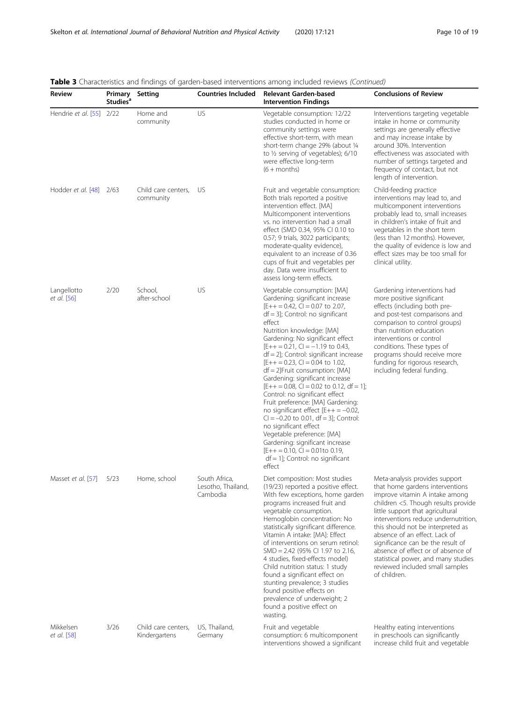| <b>Review</b>                  | <b>Primary Setting</b><br>Studies <sup>a</sup> |                                      |                                                 | <b>Table 3</b> Characteristics and imamigs of garactic based interventions among included reviews (commaca,<br>Countries Included Relevant Garden-based<br><b>Intervention Findings</b>                                                                                                                                                                                                                                                                                                                                                                                                                                                                                                                                                                                                                       | <b>Conclusions of Review</b>                                                                                                                                                                                                                                                                                                                                                                                                                                      |
|--------------------------------|------------------------------------------------|--------------------------------------|-------------------------------------------------|---------------------------------------------------------------------------------------------------------------------------------------------------------------------------------------------------------------------------------------------------------------------------------------------------------------------------------------------------------------------------------------------------------------------------------------------------------------------------------------------------------------------------------------------------------------------------------------------------------------------------------------------------------------------------------------------------------------------------------------------------------------------------------------------------------------|-------------------------------------------------------------------------------------------------------------------------------------------------------------------------------------------------------------------------------------------------------------------------------------------------------------------------------------------------------------------------------------------------------------------------------------------------------------------|
| Hendrie et al. [55] 2/22       |                                                | Home and<br>community                | US                                              | Vegetable consumption: 12/22<br>studies conducted in home or<br>community settings were<br>effective short-term, with mean<br>short-term change 29% (about 1/4<br>to 1/2 serving of vegetables); 6/10<br>were effective long-term<br>$(6 + months)$                                                                                                                                                                                                                                                                                                                                                                                                                                                                                                                                                           | Interventions targeting vegetable<br>intake in home or community<br>settings are generally effective<br>and may increase intake by<br>around 30%. Intervention<br>effectiveness was associated with<br>number of settings targeted and<br>frequency of contact, but not<br>length of intervention.                                                                                                                                                                |
| Hodder <i>et al.</i> [48] 2/63 |                                                | Child care centers,<br>community     | US                                              | Fruit and vegetable consumption:<br>Both trials reported a positive<br>intervention effect. [MA]<br>Multicomponent interventions<br>vs. no intervention had a small<br>effect (SMD 0.34, 95% CI 0.10 to<br>0.57; 9 trials, 3022 participants;<br>moderate-quality evidence),<br>equivalent to an increase of 0.36<br>cups of fruit and vegetables per<br>day. Data were insufficient to<br>assess long-term effects.                                                                                                                                                                                                                                                                                                                                                                                          | Child-feeding practice<br>interventions may lead to, and<br>multicomponent interventions<br>probably lead to, small increases<br>in children's intake of fruit and<br>vegetables in the short term<br>(less than 12 months). However,<br>the quality of evidence is low and<br>effect sizes may be too small for<br>clinical utility.                                                                                                                             |
| Langellotto<br>et al. [56]     | 2/20                                           | School,<br>after-school              | US                                              | Vegetable consumption: [MA]<br>Gardening: significant increase<br>$[E++ = 0.42, C] = 0.07$ to 2.07,<br>$df = 3$ ; Control: no significant<br>effect<br>Nutrition knowledge: [MA]<br>Gardening: No significant effect<br>$[E++ = 0.21, C] = -1.19$ to 0.43,<br>$df = 2$ ]; Control: significant increase<br>$[E++ = 0.23, Cl = 0.04$ to 1.02,<br>$df = 2$ Fruit consumption: [MA]<br>Gardening: significant increase<br>$[E++ = 0.08, C] = 0.02$ to 0.12, df = 1];<br>Control: no significant effect<br>Fruit preference: [MA] Gardening:<br>no significant effect $[E++ = -0.02]$ ,<br>$Cl = -0.20$ to 0.01, df = 3]; Control:<br>no significant effect<br>Vegetable preference: [MA]<br>Gardening: significant increase<br>$[E++ = 0.10, C] = 0.01$ to 0.19,<br>$df = 1$ ; Control: no significant<br>effect | Gardening interventions had<br>more positive significant<br>effects (including both pre-<br>and post-test comparisons and<br>comparison to control groups)<br>than nutrition education<br>interventions or control<br>conditions. These types of<br>programs should receive more<br>funding for rigorous research,<br>including federal funding.                                                                                                                  |
| Masset et al. [57]             | 5/23                                           | Home, school                         | South Africa,<br>Lesotho, Thailand,<br>Cambodia | Diet composition: Most studies<br>(19/23) reported a positive effect.<br>With few exceptions, home garden<br>programs increased fruit and<br>vegetable consumption.<br>Hemoglobin concentration: No<br>statistically significant difference.<br>Vitamin A intake: [MA]: Effect<br>of interventions on serum retinol:<br>SMD = 2.42 (95% CI 1.97 to 2.16,<br>4 studies, fixed-effects model)<br>Child nutrition status: 1 study<br>found a significant effect on<br>stunting prevalence; 3 studies<br>found positive effects on<br>prevalence of underweight; 2<br>found a positive effect on<br>wasting.                                                                                                                                                                                                      | Meta-analysis provides support<br>that home gardens interventions<br>improve vitamin A intake among<br>children <5. Though results provide<br>little support that agricultural<br>interventions reduce undernutrition,<br>this should not be interpreted as<br>absence of an effect. Lack of<br>significance can be the result of<br>absence of effect or of absence of<br>statistical power, and many studies<br>reviewed included small samples<br>of children. |
| Mikkelsen<br>et al. [58]       | 3/26                                           | Child care centers,<br>Kindergartens | US, Thailand,<br>Germany                        | Fruit and vegetable<br>consumption: 6 multicomponent<br>interventions showed a significant                                                                                                                                                                                                                                                                                                                                                                                                                                                                                                                                                                                                                                                                                                                    | Healthy eating interventions<br>in preschools can significantly<br>increase child fruit and vegetable                                                                                                                                                                                                                                                                                                                                                             |

#### Table 3 Characteristics and findings of garden-based interventions among included reviews (Continued)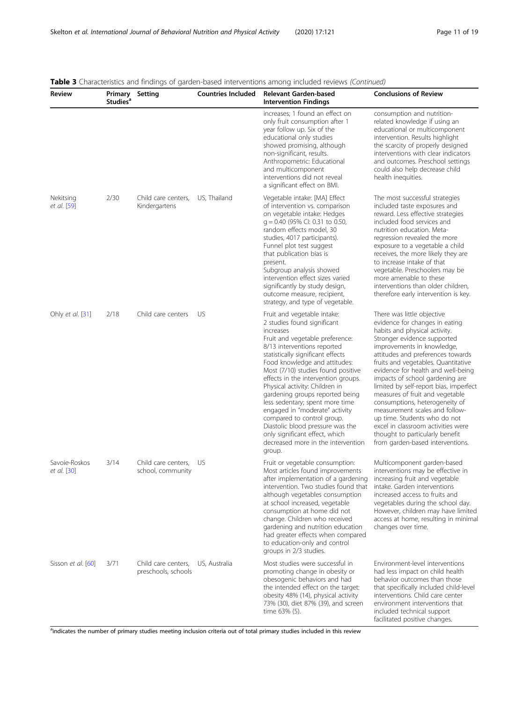|                              |                            |                                            |                           | <b>IC S</b> Characteristics and infamigs or garden based interventions among included reviews (commacu)                                                                                                                                                                                                                                                                                                                                                                                                                                                                                    |                                                                                                                                                                                                                                                                                                                                                                                                                                                                                                                                                                                                               |
|------------------------------|----------------------------|--------------------------------------------|---------------------------|--------------------------------------------------------------------------------------------------------------------------------------------------------------------------------------------------------------------------------------------------------------------------------------------------------------------------------------------------------------------------------------------------------------------------------------------------------------------------------------------------------------------------------------------------------------------------------------------|---------------------------------------------------------------------------------------------------------------------------------------------------------------------------------------------------------------------------------------------------------------------------------------------------------------------------------------------------------------------------------------------------------------------------------------------------------------------------------------------------------------------------------------------------------------------------------------------------------------|
| <b>Review</b>                | <b>Studies<sup>a</sup></b> | Primary Setting                            | <b>Countries Included</b> | Relevant Garden-based<br><b>Intervention Findings</b>                                                                                                                                                                                                                                                                                                                                                                                                                                                                                                                                      | <b>Conclusions of Review</b>                                                                                                                                                                                                                                                                                                                                                                                                                                                                                                                                                                                  |
|                              |                            |                                            |                           | increases; 1 found an effect on<br>only fruit consumption after 1<br>year follow up. Six of the<br>educational only studies<br>showed promising, although<br>non-significant, results.<br>Anthropometric: Educational<br>and multicomponent<br>interventions did not reveal<br>a significant effect on BMI.                                                                                                                                                                                                                                                                                | consumption and nutrition-<br>related knowledge if using an<br>educational or multicomponent<br>intervention. Results highlight<br>the scarcity of properly designed<br>interventions with clear indicators<br>and outcomes. Preschool settings<br>could also help decrease child<br>health inequities.                                                                                                                                                                                                                                                                                                       |
| Nekitsing<br>et al. [59]     | 2/30                       | Child care centers,<br>Kindergartens       | US, Thailand              | Vegetable intake: [MA] Effect<br>of intervention vs. comparison<br>on vegetable intake: Hedges<br>$q = 0.40$ (95% CI: 0.31 to 0.50,<br>random effects model, 30<br>studies, 4017 participants).<br>Funnel plot test suggest<br>that publication bias is<br>present.<br>Subgroup analysis showed<br>intervention effect sizes varied<br>significantly by study design,<br>outcome measure, recipient,<br>strategy, and type of vegetable.                                                                                                                                                   | The most successful strategies<br>included taste exposures and<br>reward. Less effective strategies<br>included food services and<br>nutrition education. Meta-<br>regression revealed the more<br>exposure to a vegetable a child<br>receives, the more likely they are<br>to increase intake of that<br>vegetable. Preschoolers may be<br>more amenable to these<br>interventions than older children,<br>therefore early intervention is key.                                                                                                                                                              |
| Ohly et al. [31]             | 2/18                       | Child care centers                         | US                        | Fruit and vegetable intake:<br>2 studies found significant<br>increases<br>Fruit and vegetable preference:<br>8/13 interventions reported<br>statistically significant effects<br>Food knowledge and attitudes:<br>Most (7/10) studies found positive<br>effects in the intervention groups.<br>Physical activity: Children in<br>gardening groups reported being<br>less sedentary; spent more time<br>engaged in "moderate" activity<br>compared to control group.<br>Diastolic blood pressure was the<br>only significant effect, which<br>decreased more in the intervention<br>group. | There was little objective<br>evidence for changes in eating<br>habits and physical activity.<br>Stronger evidence supported<br>improvements in knowledge,<br>attitudes and preferences towards<br>fruits and vegetables. Quantitative<br>evidence for health and well-being<br>impacts of school gardening are<br>limited by self-report bias, imperfect<br>measures of fruit and vegetable<br>consumptions, heterogeneity of<br>measurement scales and follow-<br>up time. Students who do not<br>excel in classroom activities were<br>thought to particularly benefit<br>from garden-based interventions. |
| Savoie-Roskos<br>et al. [30] | 3/14                       | Child care centers.<br>school, community   | US                        | Fruit or vegetable consumption:<br>Most articles found improvements<br>after implementation of a gardening<br>intervention. Two studies found that<br>although vegetables consumption<br>at school increased, vegetable<br>consumption at home did not<br>change. Children who received<br>gardening and nutrition education<br>had greater effects when compared<br>to education-only and control<br>groups in 2/3 studies.                                                                                                                                                               | Multicomponent garden-based<br>interventions may be effective in<br>increasing fruit and vegetable<br>intake. Garden interventions<br>increased access to fruits and<br>vegetables during the school day.<br>However, children may have limited<br>access at home, resulting in minimal<br>changes over time.                                                                                                                                                                                                                                                                                                 |
| Sisson et al. [60]           | 3/71                       | Child care centers.<br>preschools, schools | US, Australia             | Most studies were successful in<br>promoting change in obesity or<br>obesogenic behaviors and had<br>the intended effect on the target:<br>obesity 48% (14), physical activity<br>73% (30), diet 87% (39), and screen<br>time 63% (5).                                                                                                                                                                                                                                                                                                                                                     | Environment-level interventions<br>had less impact on child health<br>behavior outcomes than those<br>that specifically included child-level<br>interventions. Child care center<br>environment interventions that<br>included technical support<br>facilitated positive changes.                                                                                                                                                                                                                                                                                                                             |

|  | Table 3 Characteristics and findings of garden-based interventions among included reviews (Continued) |  |  |  |
|--|-------------------------------------------------------------------------------------------------------|--|--|--|
|  |                                                                                                       |  |  |  |

<sup>a</sup>indicates the number of primary studies meeting inclusion criteria out of total primary studies included in this review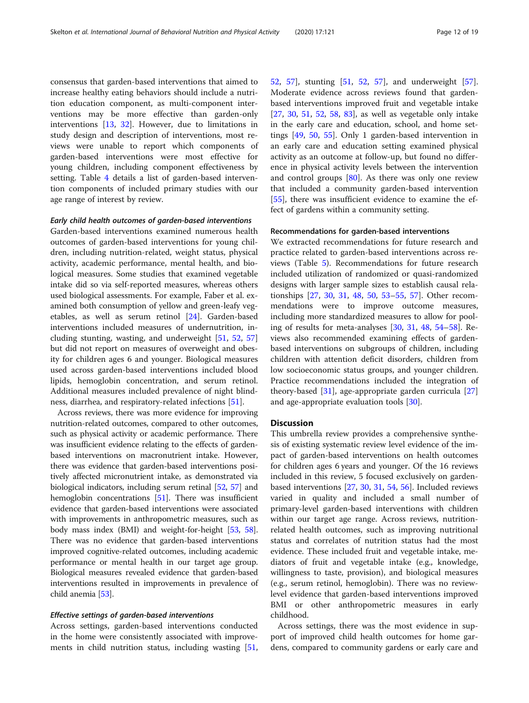consensus that garden-based interventions that aimed to increase healthy eating behaviors should include a nutrition education component, as multi-component interventions may be more effective than garden-only interventions [[13,](#page-16-0) [32\]](#page-16-0). However, due to limitations in study design and description of interventions, most reviews were unable to report which components of garden-based interventions were most effective for young children, including component effectiveness by setting. Table [4](#page-12-0) details a list of garden-based intervention components of included primary studies with our age range of interest by review.

#### Early child health outcomes of garden-based interventions

Garden-based interventions examined numerous health outcomes of garden-based interventions for young children, including nutrition-related, weight status, physical activity, academic performance, mental health, and biological measures. Some studies that examined vegetable intake did so via self-reported measures, whereas others used biological assessments. For example, Faber et al. examined both consumption of yellow and green-leafy vegetables, as well as serum retinol [\[24](#page-16-0)]. Garden-based interventions included measures of undernutrition, including stunting, wasting, and underweight [\[51](#page-17-0), [52](#page-17-0), [57](#page-17-0)] but did not report on measures of overweight and obesity for children ages 6 and younger. Biological measures used across garden-based interventions included blood lipids, hemoglobin concentration, and serum retinol. Additional measures included prevalence of night blindness, diarrhea, and respiratory-related infections [\[51\]](#page-17-0).

Across reviews, there was more evidence for improving nutrition-related outcomes, compared to other outcomes, such as physical activity or academic performance. There was insufficient evidence relating to the effects of gardenbased interventions on macronutrient intake. However, there was evidence that garden-based interventions positively affected micronutrient intake, as demonstrated via biological indicators, including serum retinal [\[52](#page-17-0), [57](#page-17-0)] and hemoglobin concentrations [\[51\]](#page-17-0). There was insufficient evidence that garden-based interventions were associated with improvements in anthropometric measures, such as body mass index (BMI) and weight-for-height [\[53,](#page-17-0) [58](#page-17-0)]. There was no evidence that garden-based interventions improved cognitive-related outcomes, including academic performance or mental health in our target age group. Biological measures revealed evidence that garden-based interventions resulted in improvements in prevalence of child anemia [\[53](#page-17-0)].

#### Effective settings of garden-based interventions

Across settings, garden-based interventions conducted in the home were consistently associated with improvements in child nutrition status, including wasting [[51](#page-17-0),

[52,](#page-17-0) [57](#page-17-0)], stunting [\[51,](#page-17-0) [52,](#page-17-0) [57](#page-17-0)], and underweight [\[57](#page-17-0)]. Moderate evidence across reviews found that gardenbased interventions improved fruit and vegetable intake [[27,](#page-16-0) [30,](#page-16-0) [51](#page-17-0), [52](#page-17-0), [58](#page-17-0), [83](#page-17-0)], as well as vegetable only intake in the early care and education, school, and home settings [[49,](#page-17-0) [50](#page-17-0), [55](#page-17-0)]. Only 1 garden-based intervention in an early care and education setting examined physical activity as an outcome at follow-up, but found no difference in physical activity levels between the intervention and control groups  $[80]$  $[80]$ . As there was only one review that included a community garden-based intervention [[55\]](#page-17-0), there was insufficient evidence to examine the effect of gardens within a community setting.

#### Recommendations for garden-based interventions

We extracted recommendations for future research and practice related to garden-based interventions across reviews (Table [5\)](#page-13-0). Recommendations for future research included utilization of randomized or quasi-randomized designs with larger sample sizes to establish causal relationships [[27,](#page-16-0) [30,](#page-16-0) [31](#page-16-0), [48](#page-17-0), [50](#page-17-0), [53](#page-17-0)–[55](#page-17-0), [57](#page-17-0)]. Other recommendations were to improve outcome measures, including more standardized measures to allow for pooling of results for meta-analyses [[30](#page-16-0), [31](#page-16-0), [48,](#page-17-0) [54](#page-17-0)–[58](#page-17-0)]. Reviews also recommended examining effects of gardenbased interventions on subgroups of children, including children with attention deficit disorders, children from low socioeconomic status groups, and younger children. Practice recommendations included the integration of theory-based  $[31]$ , age-appropriate garden curricula  $[27]$  $[27]$  $[27]$ and age-appropriate evaluation tools [\[30](#page-16-0)].

#### **Discussion**

This umbrella review provides a comprehensive synthesis of existing systematic review level evidence of the impact of garden-based interventions on health outcomes for children ages 6 years and younger. Of the 16 reviews included in this review, 5 focused exclusively on gardenbased interventions [[27,](#page-16-0) [30,](#page-16-0) [31,](#page-16-0) [54,](#page-17-0) [56\]](#page-17-0). Included reviews varied in quality and included a small number of primary-level garden-based interventions with children within our target age range. Across reviews, nutritionrelated health outcomes, such as improving nutritional status and correlates of nutrition status had the most evidence. These included fruit and vegetable intake, mediators of fruit and vegetable intake (e.g., knowledge, willingness to taste, provision), and biological measures (e.g., serum retinol, hemoglobin). There was no reviewlevel evidence that garden-based interventions improved BMI or other anthropometric measures in early childhood.

Across settings, there was the most evidence in support of improved child health outcomes for home gardens, compared to community gardens or early care and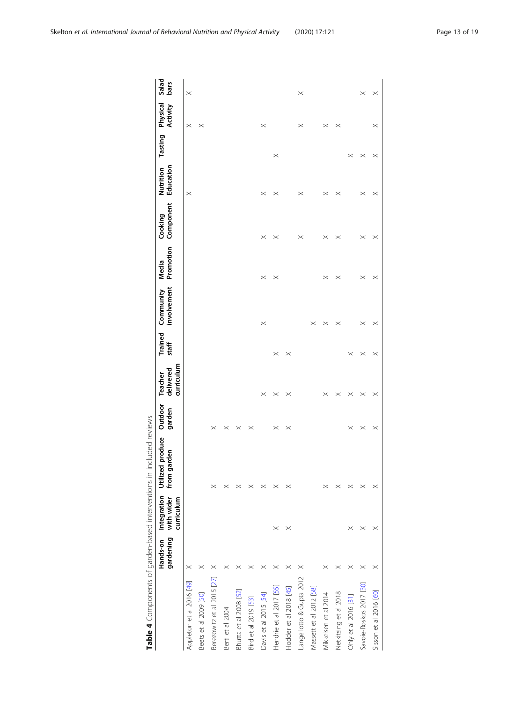<span id="page-12-0"></span>

|                            | gardening<br>Hands-on | Integration<br>with wider<br>curriculum | Utilized produce<br>garden<br>from | Outdoor<br>garden | curriculum<br>delivered<br>Teacher | Trained<br>staff | involvement<br>Community | Promotion<br>Media | Component<br>Cooking | Nutrition<br>Education | Tasting  | Physical<br>Activity | Salad<br>bars |
|----------------------------|-----------------------|-----------------------------------------|------------------------------------|-------------------|------------------------------------|------------------|--------------------------|--------------------|----------------------|------------------------|----------|----------------------|---------------|
| Appleton et al 2016 [49]   | $\times$              |                                         |                                    |                   |                                    |                  |                          |                    |                      | $\times$               |          | $\times$             | $\times$      |
| Beets et al 2009 [50]      | $\times$              |                                         |                                    |                   |                                    |                  |                          |                    |                      |                        |          | $\times$             |               |
| Berezowitz et al 2015 [27] | $\times$              |                                         | $\times$                           | $\times$          |                                    |                  |                          |                    |                      |                        |          |                      |               |
| Berti et al 2004           |                       |                                         | $\times$                           | $\times$          |                                    |                  |                          |                    |                      |                        |          |                      |               |
| Bhutta et al 2008 [52]     | $\times$              |                                         | $\times$                           | $\times$          |                                    |                  |                          |                    |                      |                        |          |                      |               |
| Bird et al 2019 [53]       | $\times$              |                                         | $\times$                           | $\times$          |                                    |                  |                          |                    |                      |                        |          |                      |               |
| Davis et al 2015 [54]      | $\times$              |                                         | $\times$                           |                   | $\times$                           |                  | $\times$                 | $\times$           | $\times$             | $\times$               |          | $\times$             |               |
| Hendrie et al 2017 [55]    | $\times$              | $\times$                                | $\times$                           | $\times$          | $\times$                           | $\times$         |                          | $\times$           | $\times$             | $\times$               | $\times$ |                      |               |
| Hodder et al 2018 [45]     | $\times$              | $\times$                                | $\times$                           | $\times$          | $\times$                           | $\times$         |                          |                    |                      |                        |          |                      |               |
| Langellotto & Gupta 2012   | $\times$              |                                         |                                    |                   |                                    |                  |                          |                    | $\times$             | $\times$               |          | $\times$             | $\times$      |
| Massett et al 2012 [58]    |                       |                                         |                                    |                   |                                    |                  | $\times$                 |                    |                      |                        |          |                      |               |
| Mikkelsen et al 2014       | $\times$              |                                         | $\times$                           |                   | $\times$                           |                  | $\times$                 | $\times$           | $\times$             | $\times$               |          | $\times$             |               |
| Netkitsing et al 2018      | $\times$              |                                         | $\times$                           |                   | $\times$                           |                  | $\times$                 | $\times$           | $\times$             | $\times$               |          | $\times$             |               |
| Ohly et al 2016 [31]       | $\times$              | $\times$                                | $\times$                           | $\times$          | $\times$                           | $\times$         |                          |                    |                      |                        | $\times$ |                      |               |
| Savoie-Roskos 2017 [30]    | $\times$              | $\times$                                | $\times$                           | $\times$          | $\times$                           | $\times$         | $\times$                 | $\times$           | $\times$             | $\times$               | $\times$ |                      | $\times$      |
| Sisson et al 2016 [60]     | $\times$              | $\times$                                | $\times$                           | $\times$          | $\times$                           | $\times$         | $\times$                 | $\times$           | $\times$             | $\times$               | $\times$ | $\times$             | $\times$      |
|                            |                       |                                         |                                    |                   |                                    |                  |                          |                    |                      |                        |          |                      |               |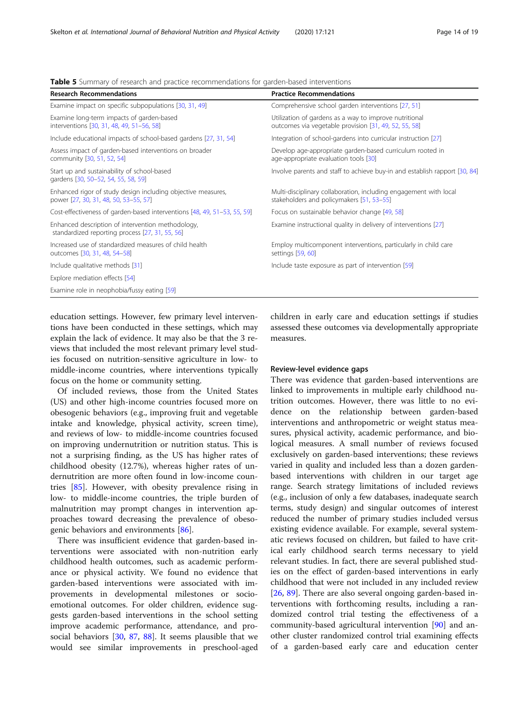#### <span id="page-13-0"></span>Table 5 Summary of research and practice recommendations for garden-based interventions

| <b>Research Recommendations</b>                                                                       | <b>Practice Recommendations</b>                                                                                 |
|-------------------------------------------------------------------------------------------------------|-----------------------------------------------------------------------------------------------------------------|
| Examine impact on specific subpopulations [30, 31, 49]                                                | Comprehensive school garden interventions [27, 51]                                                              |
| Examine long-term impacts of garden-based<br>interventions [30, 31, 48, 49, 51-56, 58]                | Utilization of gardens as a way to improve nutritional<br>outcomes via vegetable provision [31, 49, 52, 55, 58] |
| Include educational impacts of school-based gardens [27, 31, 54]                                      | Integration of school-gardens into curricular instruction [27]                                                  |
| Assess impact of garden-based interventions on broader<br>community [30, 51, 52, 54]                  | Develop age-appropriate garden-based curriculum rooted in<br>age-appropriate evaluation tools [30]              |
| Start up and sustainability of school-based<br>gardens [30, 50-52, 54, 55, 58, 59]                    | Involve parents and staff to achieve buy-in and establish rapport [30, 84]                                      |
| Enhanced rigor of study design including objective measures,<br>power [27, 30, 31, 48, 50, 53-55, 57] | Multi-disciplinary collaboration, including engagement with local<br>stakeholders and policymakers [51, 53-55]  |
| Cost-effectiveness of garden-based interventions [48, 49, 51–53, 55, 59]                              | Focus on sustainable behavior change [49, 58]                                                                   |
| Enhanced description of intervention methodology,<br>standardized reporting process [27, 31, 55, 56]  | Examine instructional quality in delivery of interventions [27]                                                 |
| Increased use of standardized measures of child health<br>outcomes [30, 31, 48, 54-58]                | Employ multicomponent interventions, particularly in child care<br>settings [59, 60]                            |
| Include qualitative methods [31]                                                                      | Include taste exposure as part of intervention [59]                                                             |
| Explore mediation effects [54]                                                                        |                                                                                                                 |
| Examine role in neophobia/fussy eating [59]                                                           |                                                                                                                 |

education settings. However, few primary level interventions have been conducted in these settings, which may explain the lack of evidence. It may also be that the 3 reviews that included the most relevant primary level studies focused on nutrition-sensitive agriculture in low- to middle-income countries, where interventions typically focus on the home or community setting.

Of included reviews, those from the United States (US) and other high-income countries focused more on obesogenic behaviors (e.g., improving fruit and vegetable intake and knowledge, physical activity, screen time), and reviews of low- to middle-income countries focused on improving undernutrition or nutrition status. This is not a surprising finding, as the US has higher rates of childhood obesity (12.7%), whereas higher rates of undernutrition are more often found in low-income countries [[85\]](#page-17-0). However, with obesity prevalence rising in low- to middle-income countries, the triple burden of malnutrition may prompt changes in intervention approaches toward decreasing the prevalence of obesogenic behaviors and environments [[86\]](#page-17-0).

There was insufficient evidence that garden-based interventions were associated with non-nutrition early childhood health outcomes, such as academic performance or physical activity. We found no evidence that garden-based interventions were associated with improvements in developmental milestones or socioemotional outcomes. For older children, evidence suggests garden-based interventions in the school setting improve academic performance, attendance, and prosocial behaviors [\[30](#page-16-0), [87](#page-17-0), [88](#page-17-0)]. It seems plausible that we would see similar improvements in preschool-aged children in early care and education settings if studies assessed these outcomes via developmentally appropriate measures.

#### Review-level evidence gaps

There was evidence that garden-based interventions are linked to improvements in multiple early childhood nutrition outcomes. However, there was little to no evidence on the relationship between garden-based interventions and anthropometric or weight status measures, physical activity, academic performance, and biological measures. A small number of reviews focused exclusively on garden-based interventions; these reviews varied in quality and included less than a dozen gardenbased interventions with children in our target age range. Search strategy limitations of included reviews (e.g., inclusion of only a few databases, inadequate search terms, study design) and singular outcomes of interest reduced the number of primary studies included versus existing evidence available. For example, several systematic reviews focused on children, but failed to have critical early childhood search terms necessary to yield relevant studies. In fact, there are several published studies on the effect of garden-based interventions in early childhood that were not included in any included review [[26,](#page-16-0) [89\]](#page-17-0). There are also several ongoing garden-based interventions with forthcoming results, including a randomized control trial testing the effectiveness of a community-based agricultural intervention [\[90](#page-18-0)] and another cluster randomized control trial examining effects of a garden-based early care and education center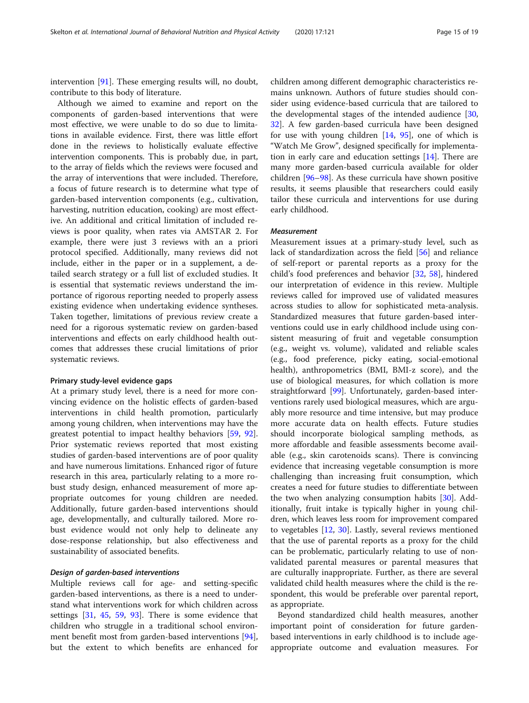intervention [[91\]](#page-18-0). These emerging results will, no doubt, contribute to this body of literature.

Although we aimed to examine and report on the components of garden-based interventions that were most effective, we were unable to do so due to limitations in available evidence. First, there was little effort done in the reviews to holistically evaluate effective intervention components. This is probably due, in part, to the array of fields which the reviews were focused and the array of interventions that were included. Therefore, a focus of future research is to determine what type of garden-based intervention components (e.g., cultivation, harvesting, nutrition education, cooking) are most effective. An additional and critical limitation of included reviews is poor quality, when rates via AMSTAR 2. For example, there were just 3 reviews with an a priori protocol specified. Additionally, many reviews did not include, either in the paper or in a supplement, a detailed search strategy or a full list of excluded studies. It is essential that systematic reviews understand the importance of rigorous reporting needed to properly assess existing evidence when undertaking evidence syntheses. Taken together, limitations of previous review create a need for a rigorous systematic review on garden-based interventions and effects on early childhood health outcomes that addresses these crucial limitations of prior systematic reviews.

#### Primary study-level evidence gaps

At a primary study level, there is a need for more convincing evidence on the holistic effects of garden-based interventions in child health promotion, particularly among young children, when interventions may have the greatest potential to impact healthy behaviors [[59,](#page-17-0) [92](#page-18-0)]. Prior systematic reviews reported that most existing studies of garden-based interventions are of poor quality and have numerous limitations. Enhanced rigor of future research in this area, particularly relating to a more robust study design, enhanced measurement of more appropriate outcomes for young children are needed. Additionally, future garden-based interventions should age, developmentally, and culturally tailored. More robust evidence would not only help to delineate any dose-response relationship, but also effectiveness and sustainability of associated benefits.

#### Design of garden-based interventions

Multiple reviews call for age- and setting-specific garden-based interventions, as there is a need to understand what interventions work for which children across settings [[31,](#page-16-0) [45,](#page-17-0) [59,](#page-17-0) [93\]](#page-18-0). There is some evidence that children who struggle in a traditional school environment benefit most from garden-based interventions [\[94](#page-18-0)], but the extent to which benefits are enhanced for children among different demographic characteristics remains unknown. Authors of future studies should consider using evidence-based curricula that are tailored to the developmental stages of the intended audience [[30](#page-16-0), [32\]](#page-16-0). A few garden-based curricula have been designed for use with young children [[14](#page-16-0), [95](#page-18-0)], one of which is "Watch Me Grow", designed specifically for implementation in early care and education settings [\[14](#page-16-0)]. There are many more garden-based curricula available for older children [[96](#page-18-0)–[98](#page-18-0)]. As these curricula have shown positive results, it seems plausible that researchers could easily tailor these curricula and interventions for use during early childhood.

#### **Measurement**

Measurement issues at a primary-study level, such as lack of standardization across the field [[56](#page-17-0)] and reliance of self-report or parental reports as a proxy for the child's food preferences and behavior [[32,](#page-16-0) [58](#page-17-0)], hindered our interpretation of evidence in this review. Multiple reviews called for improved use of validated measures across studies to allow for sophisticated meta-analysis. Standardized measures that future garden-based interventions could use in early childhood include using consistent measuring of fruit and vegetable consumption (e.g., weight vs. volume), validated and reliable scales (e.g., food preference, picky eating, social-emotional health), anthropometrics (BMI, BMI-z score), and the use of biological measures, for which collation is more straightforward [[99](#page-18-0)]. Unfortunately, garden-based interventions rarely used biological measures, which are arguably more resource and time intensive, but may produce more accurate data on health effects. Future studies should incorporate biological sampling methods, as more affordable and feasible assessments become available (e.g., skin carotenoids scans). There is convincing evidence that increasing vegetable consumption is more challenging than increasing fruit consumption, which creates a need for future studies to differentiate between the two when analyzing consumption habits [\[30](#page-16-0)]. Additionally, fruit intake is typically higher in young children, which leaves less room for improvement compared to vegetables [\[12,](#page-16-0) [30\]](#page-16-0). Lastly, several reviews mentioned that the use of parental reports as a proxy for the child can be problematic, particularly relating to use of nonvalidated parental measures or parental measures that are culturally inappropriate. Further, as there are several validated child health measures where the child is the respondent, this would be preferable over parental report, as appropriate.

Beyond standardized child health measures, another important point of consideration for future gardenbased interventions in early childhood is to include ageappropriate outcome and evaluation measures. For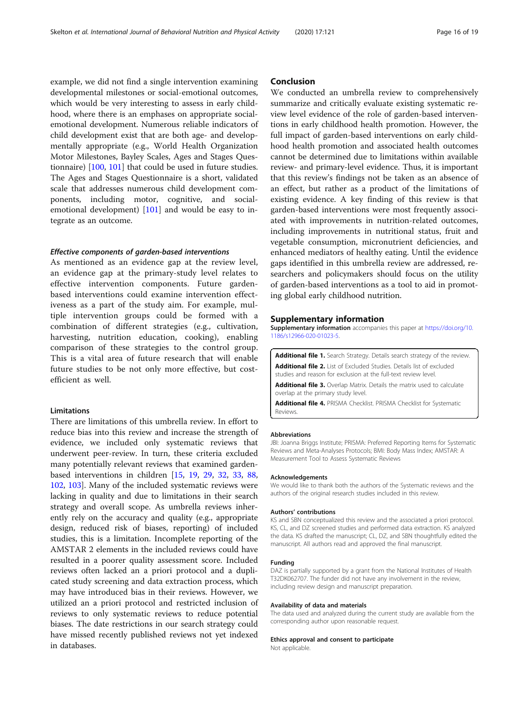<span id="page-15-0"></span>example, we did not find a single intervention examining developmental milestones or social-emotional outcomes, which would be very interesting to assess in early childhood, where there is an emphases on appropriate socialemotional development. Numerous reliable indicators of child development exist that are both age- and developmentally appropriate (e.g., World Health Organization Motor Milestones, Bayley Scales, Ages and Stages Questionnaire) [[100](#page-18-0), [101](#page-18-0)] that could be used in future studies. The Ages and Stages Questionnaire is a short, validated scale that addresses numerous child development components, including motor, cognitive, and socialemotional development) [[101\]](#page-18-0) and would be easy to integrate as an outcome.

#### Effective components of garden-based interventions

As mentioned as an evidence gap at the review level, an evidence gap at the primary-study level relates to effective intervention components. Future gardenbased interventions could examine intervention effectiveness as a part of the study aim. For example, multiple intervention groups could be formed with a combination of different strategies (e.g., cultivation, harvesting, nutrition education, cooking), enabling comparison of these strategies to the control group. This is a vital area of future research that will enable future studies to be not only more effective, but costefficient as well.

#### **Limitations**

There are limitations of this umbrella review. In effort to reduce bias into this review and increase the strength of evidence, we included only systematic reviews that underwent peer-review. In turn, these criteria excluded many potentially relevant reviews that examined gardenbased interventions in children [\[15,](#page-16-0) [19](#page-16-0), [29,](#page-16-0) [32](#page-16-0), [33,](#page-16-0) [88](#page-17-0), [102](#page-18-0), [103\]](#page-18-0). Many of the included systematic reviews were lacking in quality and due to limitations in their search strategy and overall scope. As umbrella reviews inherently rely on the accuracy and quality (e.g., appropriate design, reduced risk of biases, reporting) of included studies, this is a limitation. Incomplete reporting of the AMSTAR 2 elements in the included reviews could have resulted in a poorer quality assessment score. Included reviews often lacked an a priori protocol and a duplicated study screening and data extraction process, which may have introduced bias in their reviews. However, we utilized an a priori protocol and restricted inclusion of reviews to only systematic reviews to reduce potential biases. The date restrictions in our search strategy could have missed recently published reviews not yet indexed in databases.

#### Conclusion

We conducted an umbrella review to comprehensively summarize and critically evaluate existing systematic review level evidence of the role of garden-based interventions in early childhood health promotion. However, the full impact of garden-based interventions on early childhood health promotion and associated health outcomes cannot be determined due to limitations within available review- and primary-level evidence. Thus, it is important that this review's findings not be taken as an absence of an effect, but rather as a product of the limitations of existing evidence. A key finding of this review is that garden-based interventions were most frequently associated with improvements in nutrition-related outcomes, including improvements in nutritional status, fruit and vegetable consumption, micronutrient deficiencies, and enhanced mediators of healthy eating. Until the evidence gaps identified in this umbrella review are addressed, researchers and policymakers should focus on the utility of garden-based interventions as a tool to aid in promoting global early childhood nutrition.

#### Supplementary information

Supplementary information accompanies this paper at [https://doi.org/10.](https://doi.org/10.1186/s12966-020-01023-5) [1186/s12966-020-01023-5](https://doi.org/10.1186/s12966-020-01023-5).

Additional file 1. Search Strategy. Details search strategy of the review. Additional file 2. List of Excluded Studies. Details list of excluded studies and reason for exclusion at the full-text review level.

Additional file 3. Overlap Matrix. Details the matrix used to calculate overlap at the primary study level.

Additional file 4. PRISMA Checklist. PRISMA Checklist for Systematic Reviews.

#### Abbreviations

JBI: Joanna Briggs Institute; PRISMA: Preferred Reporting Items for Systematic Reviews and Meta-Analyses Protocols; BMI: Body Mass Index; AMSTAR: A Measurement Tool to Assess Systematic Reviews

#### Acknowledgements

We would like to thank both the authors of the Systematic reviews and the authors of the original research studies included in this review.

#### Authors' contributions

KS and SBN conceptualized this review and the associated a priori protocol. KS, CL, and DZ screened studies and performed data extraction. KS analyzed the data. KS drafted the manuscript; CL, DZ, and SBN thoughtfully edited the manuscript. All authors read and approved the final manuscript.

#### Funding

DAZ is partially supported by a grant from the National Institutes of Health T32DK062707. The funder did not have any involvement in the review, including review design and manuscript preparation.

#### Availability of data and materials

The data used and analyzed during the current study are available from the corresponding author upon reasonable request.

#### Ethics approval and consent to participate

Not applicable.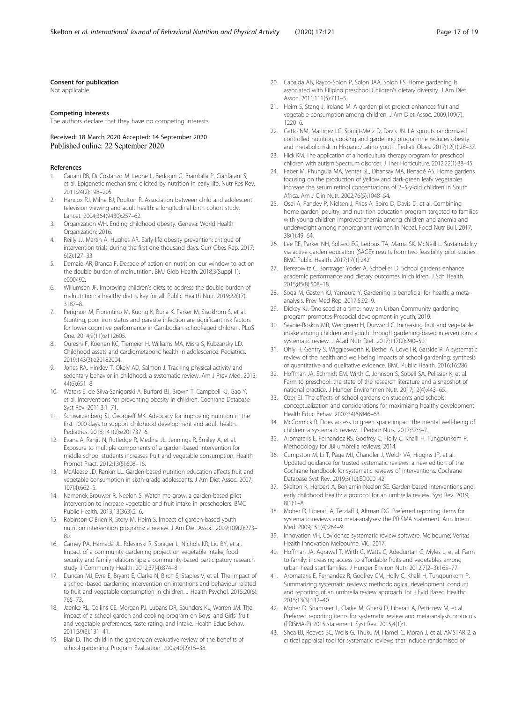#### <span id="page-16-0"></span>Consent for publication

Not applicable.

#### Competing interests

The authors declare that they have no competing interests.

Received: 18 March 2020 Accepted: 14 September 2020 Published online: 22 September 2020

#### References

- 1. Canani RB, Di Costanzo M, Leone L, Bedogni G, Brambilla P, Cianfarani S, et al. Epigenetic mechanisms elicited by nutrition in early life. Nutr Res Rev. 2011;24(2):198–205.
- 2. Hancox RJ, Milne BJ, Poulton R. Association between child and adolescent television viewing and adult health: a longitudinal birth cohort study. Lancet. 2004;364(9430):257–62.
- 3. Organization WH. Ending childhood obesity. Geneva: World Health Organization; 2016.
- 4. Reilly JJ, Martin A, Hughes AR. Early-life obesity prevention: critique of intervention trials during the first one thousand days. Curr Obes Rep. 2017; 6(2):127–33.
- 5. Demaio AR, Branca F. Decade of action on nutrition: our window to act on the double burden of malnutrition. BMJ Glob Health. 2018;3(Suppl 1): e000492.
- 6. Willumsen JF. Improving children's diets to address the double burden of malnutrition: a healthy diet is key for all. Public Health Nutr. 2019;22(17): 3187–8.
- 7. Perignon M, Fiorentino M, Kuong K, Burja K, Parker M, Sisokhom S, et al. Stunting, poor iron status and parasite infection are significant risk factors for lower cognitive performance in Cambodian school-aged children. PLoS One. 2014;9(11):e112605.
- 8. Qureshi F, Koenen KC, Tiemeier H, Williams MA, Misra S, Kubzansky LD. Childhood assets and cardiometabolic health in adolescence. Pediatrics. 2019;143(3):e20182004.
- 9. Jones RA, Hinkley T, Okely AD, Salmon J. Tracking physical activity and sedentary behavior in childhood: a systematic review. Am J Prev Med. 2013; 44(6):651–8.
- 10. Waters E, de Silva-Sanigorski A, Burford BJ, Brown T, Campbell KJ, Gao Y, et al. Interventions for preventing obesity in children. Cochrane Database Syst Rev. 2011;3:1–71.
- 11. Schwarzenberg SJ, Georgieff MK. Advocacy for improving nutrition in the first 1000 days to support childhood development and adult health. Pediatrics. 2018;141(2):e20173716.
- 12. Evans A, Ranjit N, Rutledge R, Medina JL, Jennings R, Smiley A, et al. Exposure to multiple components of a garden-based intervention for middle school students increases fruit and vegetable consumption. Health Promot Pract. 2012;13(5):608–16.
- 13. McAleese JD, Rankin LL. Garden-based nutrition education affects fruit and vegetable consumption in sixth-grade adolescents. J Am Diet Assoc. 2007; 107(4):662–5.
- 14. Namenek Brouwer R, Neelon S. Watch me grow: a garden-based pilot intervention to increase vegetable and fruit intake in preschoolers. BMC Public Health. 2013;13(363):2–6.
- 15. Robinson-O'Brien R, Story M, Heim S. Impact of garden-based youth nutrition intervention programs: a review. J Am Diet Assoc. 2009;109(2):273– 80.
- 16. Carney PA, Hamada JL, Rdesinski R, Sprager L, Nichols KR, Liu BY, et al. Impact of a community gardening project on vegetable intake, food security and family relationships: a community-based participatory research study. J Community Health. 2012;37(4):874–81.
- 17. Duncan MJ, Eyre E, Bryant E, Clarke N, Birch S, Staples V, et al. The impact of a school-based gardening intervention on intentions and behaviour related to fruit and vegetable consumption in children. J Health Psychol. 2015;20(6): 765–73.
- 18. Jaenke RL, Collins CE, Morgan PJ, Lubans DR, Saunders KL, Warren JM. The impact of a school garden and cooking program on Boys' and Girls' fruit and vegetable preferences, taste rating, and intake. Health Educ Behav. 2011;39(2):131–41.
- 19. Blair D. The child in the garden: an evaluative review of the benefits of school gardening. Program Evaluation. 2009;40(2):15–38.
- 20. Cabalda AB, Rayco-Solon P, Solon JAA, Solon FS. Home gardening is associated with Filipino preschool Children's dietary diversity. J Am Diet Assoc. 2011;111(5):711–5.
- 21. Heim S, Stang J, Ireland M. A garden pilot project enhances fruit and vegetable consumption among children. J Am Diet Assoc. 2009;109(7): 1220–6.
- 22. Gatto NM, Martinez LC, Spruijt-Metz D, Davis JN. LA sprouts randomized controlled nutrition, cooking and gardening programme reduces obesity and metabolic risk in Hispanic/Latino youth. Pediatr Obes. 2017;12(1):28–37.
- 23. Flick KM. The application of a horticultural therapy program for preschool children with autism Spectrum disorder. J Ther Horticulture. 2012;22(1):38–45.
- 24. Faber M, Phungula MA, Venter SL, Dhansay MA, Benadé AS. Home gardens focusing on the production of yellow and dark-green leafy vegetables increase the serum retinol concentrations of 2–5-y-old children in South Africa. Am J Clin Nutr. 2002;76(5):1048–54.
- 25. Osei A, Pandey P, Nielsen J, Pries A, Spiro D, Davis D, et al. Combining home garden, poultry, and nutrition education program targeted to families with young children improved anemia among children and anemia and underweight among nonpregnant women in Nepal. Food Nutr Bull. 2017; 38(1):49–64.
- 26. Lee RE, Parker NH, Soltero EG, Ledoux TA, Mama SK, McNeill L. Sustainability via active garden education (SAGE): results from two feasibility pilot studies. BMC Public Health. 2017;17(1):242.
- 27. Berezowitz C, Bontrager Yoder A, Schoeller D. School gardens enhance academic performance and dietary outcomes in children. J Sch Health. 2015;85(8):508–18.
- 28. Soga M, Gaston KJ, Yamaura Y. Gardening is beneficial for health: a metaanalysis. Prev Med Rep. 2017;5:92–9.
- 29. Dickey KJ. One seed at a time: how an Urban Community gardening program promotes Prosocial development in youth; 2019.
- 30. Savoie-Roskos MR, Wengreen H, Durward C. Increasing fruit and vegetable intake among children and youth through gardening-based interventions: a systematic review. J Acad Nutr Diet. 2017;117(2):240–50.
- 31. Ohly H, Gentry S, Wigglesworth R, Bethel A, Lovell R, Garside R. A systematic review of the health and well-being impacts of school gardening: synthesis of quantitative and qualitative evidence. BMC Public Health. 2016;16:286.
- 32. Hoffman JA, Schmidt EM, Wirth C, Johnson S, Sobell SA, Pelissier K, et al. Farm to preschool: the state of the research literature and a snapshot of national practice. J Hunger Environmen Nutr. 2017;12(4):443–65.
- 33. Ozer EJ. The effects of school gardens on students and schools: conceptualization and considerations for maximizing healthy development. Health Educ Behav. 2007;34(6):846–63.
- 34. McCormick R. Does access to green space impact the mental well-being of children: a systematic review. J Pediatr Nurs. 2017;37:3–7.
- 35. Aromataris E, Fernandez RS, Godfrey C, Holly C, Khalil H, Tungpunkom P. Methodology for JBI umbrella reviews; 2014.
- 36. Cumpston M, Li T, Page MJ, Chandler J, Welch VA, Higgins JP, et al. Updated guidance for trusted systematic reviews: a new edition of the Cochrane handbook for systematic reviews of interventions. Cochrane Database Syst Rev. 2019;3(10):ED000142.
- 37. Skelton K, Herbert A, Benjamin-Neelon SE. Garden-based interventions and early childhood health: a protocol for an umbrella review. Syst Rev. 2019; 8(1):1–8.
- 38. Moher D, Liberati A, Tetzlaff J, Altman DG. Preferred reporting items for systematic reviews and meta-analyses: the PRISMA statement. Ann Intern Med. 2009;151(4):264–9.
- 39. Innovation VH. Covidence systematic review software. Melbourne: Veritas Health Innovation Melbourne, VIC; 2017.
- 40. Hoffman JA, Agrawal T, Wirth C, Watts C, Adeduntan G, Myles L, et al. Farm to family: increasing access to affordable fruits and vegetables among urban head start families. J Hunger Environ Nutr. 2012;7(2–3):165–77.
- 41. Aromataris E, Fernandez R, Godfrey CM, Holly C, Khalil H, Tungpunkom P. Summarizing systematic reviews: methodological development, conduct and reporting of an umbrella review approach. Int J Evid Based Healthc. 2015;13(3):132–40.
- 42. Moher D, Shamseer L, Clarke M, Ghersi D, Liberati A, Petticrew M, et al. Preferred reporting items for systematic review and meta-analysis protocols (PRISMA-P) 2015 statement. Syst Rev. 2015;4(1):1.
- 43. Shea BJ, Reeves BC, Wells G, Thuku M, Hamel C, Moran J, et al. AMSTAR 2: a critical appraisal tool for systematic reviews that include randomised or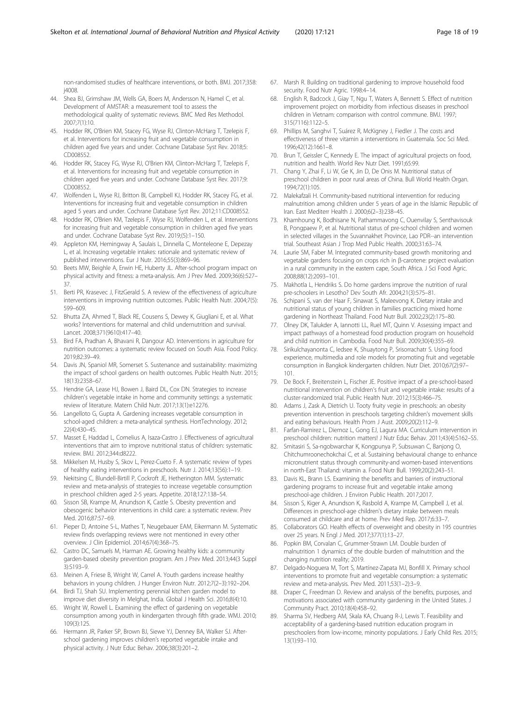<span id="page-17-0"></span>non-randomised studies of healthcare interventions, or both. BMJ. 2017;358: j4008.

- 44. Shea BJ, Grimshaw JM, Wells GA, Boers M, Andersson N, Hamel C, et al. Development of AMSTAR: a measurement tool to assess the methodological quality of systematic reviews. BMC Med Res Methodol. 2007;7(1):10.
- 45. Hodder RK, O'Brien KM, Stacey FG, Wyse RJ, Clinton-McHarg T, Tzelepis F, et al. Interventions for increasing fruit and vegetable consumption in children aged five years and under. Cochrane Database Syst Rev. 2018;5: CD008552.
- 46. Hodder RK, Stacey FG, Wyse RJ, O'Brien KM, Clinton-McHarg T, Tzelepis F, et al. Interventions for increasing fruit and vegetable consumption in children aged five years and under. Cochrane Database Syst Rev. 2017;9: CD008552.
- 47. Wolfenden L, Wyse RJ, Britton BI, Campbell KJ, Hodder RK, Stacey FG, et al. Interventions for increasing fruit and vegetable consumption in children aged 5 years and under. Cochrane Database Syst Rev. 2012;11:CD008552.
- 48. Hodder RK, O'Brien KM, Tzelepis F, Wyse RJ, Wolfenden L, et al. Interventions for increasing fruit and vegetable consumption in children aged five years and under. Cochrane Database Syst Rev. 2019;(5):1–150.
- 49. Appleton KM, Hemingway A, Saulais L, Dinnella C, Monteleone E, Depezay L, et al. Increasing vegetable intakes: rationale and systematic review of published interventions. Eur J Nutr. 2016;55(3):869–96.
- 50. Beets MW, Beighle A, Erwin HE, Huberty JL. After-school program impact on physical activity and fitness: a meta-analysis. Am J Prev Med. 2009;36(6):527– 37.
- 51. Berti PR, Krasevec J, FitzGerald S. A review of the effectiveness of agriculture interventions in improving nutrition outcomes. Public Health Nutr. 2004;7(5): 599–609.
- 52. Bhutta ZA, Ahmed T, Black RE, Cousens S, Dewey K, Giugliani E, et al. What works? Interventions for maternal and child undernutrition and survival. Lancet. 2008;371(9610):417–40.
- 53. Bird FA, Pradhan A, Bhavani R, Dangour AD. Interventions in agriculture for nutrition outcomes: a systematic review focused on South Asia. Food Policy. 2019;82:39–49.
- 54. Davis JN, Spaniol MR, Somerset S. Sustenance and sustainability: maximizing the impact of school gardens on health outcomes. Public Health Nutr. 2015; 18(13):2358–67.
- 55. Hendrie GA, Lease HJ, Bowen J, Baird DL, Cox DN. Strategies to increase children's vegetable intake in home and community settings: a systematic review of literature. Matern Child Nutr. 2017;13(1):e12276.
- 56. Langelloto G, Gupta A. Gardening increases vegetable consumption in school-aged children: a meta-analytical synthesis. HortTechnology. 2012; 22(4):430–45.
- 57. Masset E, Haddad L, Cornelius A, Isaza-Castro J. Effectiveness of agricultural interventions that aim to improve nutritional status of children: systematic review. BMJ. 2012;344:d8222.
- 58. Mikkelsen M, Husby S, Skov L, Perez-Cueto F. A systematic review of types of healthy eating interventions in preschools. Nutr J. 2014;13(56):1–19.
- 59. Nekitsing C, Blundell-Birtill P, Cockroft JE, Hetherington MM. Systematic review and meta-analysis of strategies to increase vegetable consumption in preschool children aged 2-5 years. Appetite. 2018;127:138–54.
- 60. Sisson SB, Krampe M, Anundson K, Castle S. Obesity prevention and obesogenic behavior interventions in child care: a systematic review. Prev Med. 2016;87:57–69.
- 61. Pieper D, Antoine S-L, Mathes T, Neugebauer EAM, Eikermann M. Systematic review finds overlapping reviews were not mentioned in every other overview. J Clin Epidemiol. 2014;67(4):368–75.
- 62. Castro DC, Samuels M, Harman AE. Growing healthy kids: a community garden-based obesity prevention program. Am J Prev Med. 2013;44(3 Suppl 3):S193–9.
- 63. Meinen A, Friese B, Wright W, Carrel A. Youth gardens increase healthy behaviors in young children. J Hunger Environ Nutr. 2012;7(2–3):192–204.
- 64. Birdi TJ, Shah SU. Implementing perennial kitchen garden model to improve diet diversity in Melghat, India. Global J Health Sci. 2016;8(4):10.
- 65. Wright W, Rowell L. Examining the effect of gardening on vegetable consumption among youth in kindergarten through fifth grade. WMJ. 2010; 109(3):125.
- 66. Hermann JR, Parker SP, Brown BJ, Siewe YJ, Denney BA, Walker SJ. Afterschool gardening improves children's reported vegetable intake and physical activity. J Nutr Educ Behav. 2006;38(3):201–2.
- 67. Marsh R. Building on traditional gardening to improve household food security. Food Nutr Agric. 1998:4–14.
- 68. English R, Badcock J, Giay T, Ngu T, Waters A, Bennett S. Effect of nutrition improvement project on morbidity from infectious diseases in preschool children in Vietnam: comparison with control commune. BMJ. 1997; 315(7116):1122–5.
- 69. Phillips M, Sanghvi T, Suárez R, McKigney J, Fiedler J. The costs and effectiveness of three vitamin a interventions in Guatemala. Soc Sci Med. 1996;42(12):1661–8.
- 70. Brun T, Geissler C, Kennedy E. The impact of agricultural projects on food, nutrition and health. World Rev Nutr Diet. 1991;65:99.
- 71. Chang Y, Zhai F, Li W, Ge K, Jin D, De Onis M. Nutritional status of preschool children in poor rural areas of China. Bull World Health Organ. 1994;72(1):105.
- 72. Malekafzali H. Community-based nutritional intervention for reducing malnutrition among children under 5 years of age in the Islamic Republic of Iran. East Mediterr Health J. 2000;6(2–3):238–45.
- 73. Khamhoung K, Bodhisane N, Pathammavong C, Ouenvilay S, Senthavisouk B, Pongpaew P, et al. Nutritional status of pre-school children and women in selected villages in the Suvannakhet Province, Lao PDR--an intervention trial. Southeast Asian J Trop Med Public Health. 2000;31:63–74.
- 74. Laurie SM, Faber M. Integrated community-based growth monitoring and vegetable gardens focusing on crops rich in β-carotene: project evaluation in a rural community in the eastern cape, South Africa. J Sci Food Agric. 2008;88(12):2093–101.
- 75. Makhotla L, Hendriks S. Do home gardens improve the nutrition of rural pre-schoolers in Lesotho? Dev South Afr. 2004;21(3):575–81.
- 76. Schipani S, van der Haar F, Sinawat S, Maleevong K. Dietary intake and nutritional status of young children in families practicing mixed home gardening in Northeast Thailand. Food Nutr Bull. 2002;23(2):175–80.
- 77. Olney DK, Talukder A, Iannotti LL, Ruel MT, Quinn V. Assessing impact and impact pathways of a homestead food production program on household and child nutrition in Cambodia. Food Nutr Bull. 2009;30(4):355–69.
- 78. Sirikulchayanonta C, Iedsee K, Shuaytong P, Srisorrachatr S. Using food experience, multimedia and role models for promoting fruit and vegetable consumption in Bangkok kindergarten children. Nutr Diet. 2010;67(2):97– 101.
- 79. De Bock F, Breitenstein L, Fischer JE. Positive impact of a pre-school-based nutritional intervention on children's fruit and vegetable intake: results of a cluster-randomized trial. Public Health Nutr. 2012;15(3):466–75.
- 80. Adams J, Zask A, Dietrich U. Tooty fruity vegie in preschools: an obesity prevention intervention in preschools targeting children's movement skills and eating behaviours. Health Prom J Aust. 2009;20(2):112–9.
- 81. Farfan-Ramirez L, Diemoz L, Gong EJ, Lagura MA. Curriculum intervention in preschool children: nutrition matters! J Nutr Educ Behav. 2011;43(4):S162–S5.
- 82. Smitasiri S, Sa-ngobwarchar K, Kongpunya P, Subsuwan C, Banjong O, Chitchumroonechokchai C, et al. Sustaining behavioural change to enhance micronutrient status through community-and women-based interventions in north-East Thailand: vitamin a. Food Nutr Bull. 1999;20(2):243–51.
- 83. Davis KL, Brann LS. Examining the benefits and barriers of instructional gardening programs to increase fruit and vegetable intake among preschool-age children. J Environ Public Health. 2017;2017.
- 84. Sisson S, Kiger A, Anundson K, Rasbold A, Krampe M, Campbell J, et al. Differences in preschool-age children's dietary intake between meals consumed at childcare and at home. Prev Med Rep. 2017;6:33–7.
- 85. Collaborators GO. Health effects of overweight and obesity in 195 countries over 25 years. N Engl J Med. 2017;377(1):13–27.
- 86. Popkin BM, Corvalan C, Grummer-Strawn LM. Double burden of malnutrition 1 dynamics of the double burden of malnutrition and the changing nutrition reality; 2019.
- 87. Delgado-Noguera M, Tort S, Martínez-Zapata MJ, Bonfill X. Primary school interventions to promote fruit and vegetable consumption: a systematic review and meta-analysis. Prev Med. 2011;53(1–2):3–9.
- 88. Draper C, Freedman D. Review and analysis of the benefits, purposes, and motivations associated with community gardening in the United States. J Community Pract. 2010;18(4):458–92.
- 89. Sharma SV, Hedberg AM, Skala KA, Chuang R-J, Lewis T. Feasibility and acceptability of a gardening-based nutrition education program in preschoolers from low-income, minority populations. J Early Child Res. 2015; 13(1):93–110.